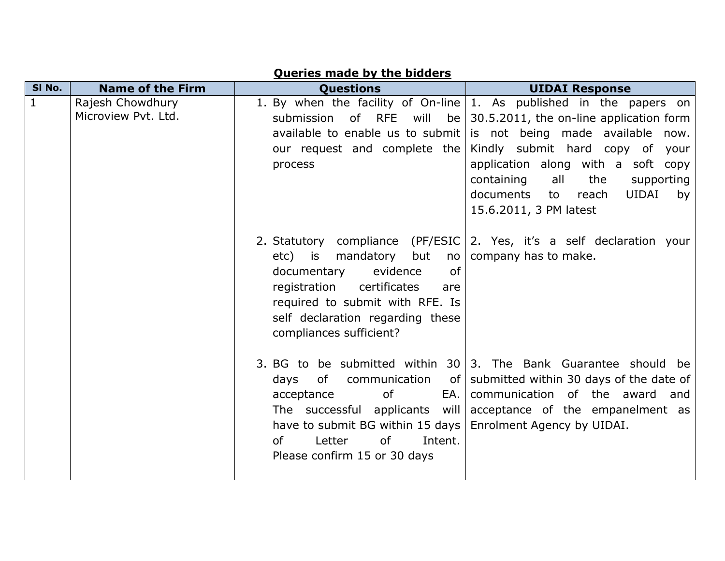| SI No.       | <b>Name of the Firm</b>                 | <b>Ouestions</b>                                                                                                                                                                                            | <b>UIDAI Response</b>                                                                                                                                                                                                                                                                                                                                                                        |
|--------------|-----------------------------------------|-------------------------------------------------------------------------------------------------------------------------------------------------------------------------------------------------------------|----------------------------------------------------------------------------------------------------------------------------------------------------------------------------------------------------------------------------------------------------------------------------------------------------------------------------------------------------------------------------------------------|
| $\mathbf{1}$ | Rajesh Chowdhury<br>Microview Pvt. Ltd. | submission of RFE<br>will<br>our request and complete the<br>process                                                                                                                                        | 1. By when the facility of On-line   1. As published in the papers on<br>be $\vert$ 30.5.2011, the on-line application form<br>available to enable us to submit is not being made available now.<br>Kindly submit hard copy of your<br>application along with a soft copy<br>containing<br>all<br>the<br>supporting<br><b>UIDAI</b><br>documents to<br>reach<br>by<br>15.6.2011, 3 PM latest |
|              |                                         | but<br>mandatory<br>etc) is<br>no<br>of<br>evidence<br>documentary<br>registration<br>certificates<br>are<br>required to submit with RFE. Is<br>self declaration regarding these<br>compliances sufficient? | 2. Statutory compliance (PF/ESIC 2. Yes, it's a self declaration your<br>company has to make.                                                                                                                                                                                                                                                                                                |
|              |                                         | communication<br>of<br>days<br>acceptance<br>0f<br>EA.I<br>The successful applicants will<br>have to submit BG within 15 days<br>of<br>Letter<br>0f<br>Intent.<br>Please confirm 15 or 30 days              | 3. BG to be submitted within $30 \mid 3$ . The Bank Guarantee should be<br>of   submitted within 30 days of the date of<br>communication of the award<br>and<br>acceptance of the empanelment as<br>Enrolment Agency by UIDAI.                                                                                                                                                               |

## **Queries made by the bidders**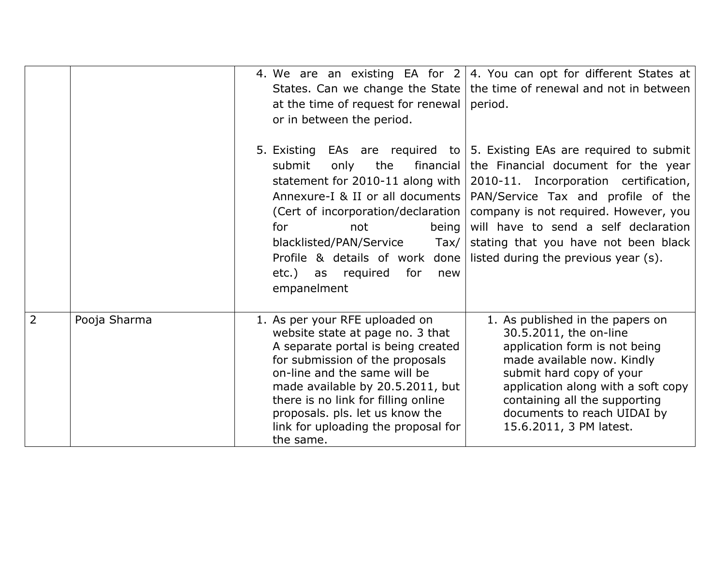|                |              | 4. We are an existing EA for $2 \mid 4$ . You can opt for different States at<br>the time of renewal and not in between<br>States. Can we change the State<br>at the time of request for renewal<br>period.<br>or in between the period.                                                                                                                                                                                                                                                                                                                                                                                                                                               |
|----------------|--------------|----------------------------------------------------------------------------------------------------------------------------------------------------------------------------------------------------------------------------------------------------------------------------------------------------------------------------------------------------------------------------------------------------------------------------------------------------------------------------------------------------------------------------------------------------------------------------------------------------------------------------------------------------------------------------------------|
|                |              | 5. Existing EAs are required to $\vert$ 5. Existing EAs are required to submit<br>the<br>financial<br>the Financial document for the year<br>submit<br>only<br>statement for 2010-11 along with<br>2010-11. Incorporation certification,<br>Annexure-I & II or all documents<br>PAN/Service Tax and profile of the<br>(Cert of incorporation/declaration  <br>company is not required. However, you<br>will have to send a self declaration<br>for<br>being<br>not<br>blacklisted/PAN/Service<br>$\text{Tax} /$<br>stating that you have not been black<br>Profile & details of work done<br>listed during the previous year (s).<br>etc.)<br>as required<br>for<br>new<br>empanelment |
| $\overline{2}$ | Pooja Sharma | 1. As published in the papers on<br>1. As per your RFE uploaded on<br>30.5.2011, the on-line<br>website state at page no. 3 that<br>A separate portal is being created<br>application form is not being<br>for submission of the proposals<br>made available now. Kindly<br>on-line and the same will be<br>submit hard copy of your<br>made available by 20.5.2011, but<br>application along with a soft copy<br>there is no link for filling online<br>containing all the supporting<br>proposals. pls. let us know the<br>documents to reach UIDAI by<br>link for uploading the proposal for<br>15.6.2011, 3 PM latest.<br>the same.                                                |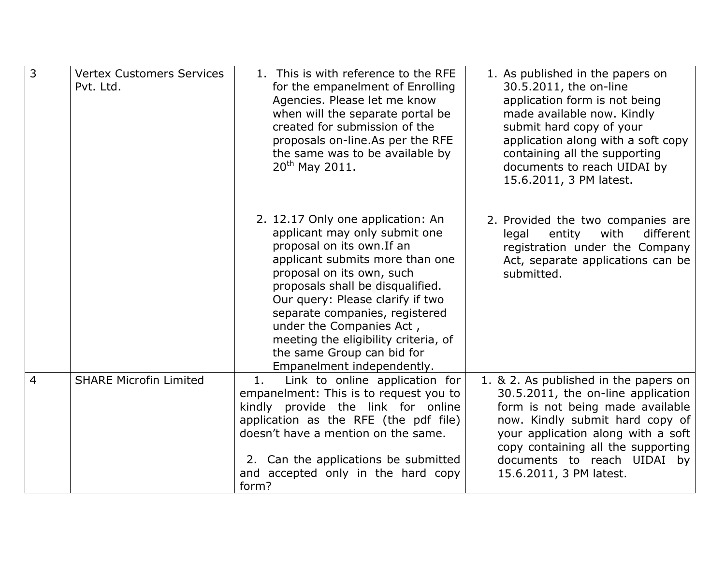| $\overline{3}$ | <b>Vertex Customers Services</b><br>Pvt. Ltd. | 1. This is with reference to the RFE<br>for the empanelment of Enrolling<br>Agencies. Please let me know<br>when will the separate portal be<br>created for submission of the<br>proposals on-line.As per the RFE<br>the same was to be available by<br>20 <sup>th</sup> May 2011.                                                                                                                         | 1. As published in the papers on<br>30.5.2011, the on-line<br>application form is not being<br>made available now. Kindly<br>submit hard copy of your<br>application along with a soft copy<br>containing all the supporting<br>documents to reach UIDAI by<br>15.6.2011, 3 PM latest.   |
|----------------|-----------------------------------------------|------------------------------------------------------------------------------------------------------------------------------------------------------------------------------------------------------------------------------------------------------------------------------------------------------------------------------------------------------------------------------------------------------------|------------------------------------------------------------------------------------------------------------------------------------------------------------------------------------------------------------------------------------------------------------------------------------------|
|                |                                               | 2. 12.17 Only one application: An<br>applicant may only submit one<br>proposal on its own. If an<br>applicant submits more than one<br>proposal on its own, such<br>proposals shall be disqualified.<br>Our query: Please clarify if two<br>separate companies, registered<br>under the Companies Act,<br>meeting the eligibility criteria, of<br>the same Group can bid for<br>Empanelment independently. | 2. Provided the two companies are<br>with<br>different<br>legal<br>entity<br>registration under the Company<br>Act, separate applications can be<br>submitted.                                                                                                                           |
| $\overline{4}$ | <b>SHARE Microfin Limited</b>                 | Link to online application for<br>1.<br>empanelment: This is to request you to<br>kindly provide the link for online<br>application as the RFE (the pdf file)<br>doesn't have a mention on the same.<br>2. Can the applications be submitted<br>and accepted only in the hard copy<br>form?                                                                                                                | 1. & 2. As published in the papers on<br>30.5.2011, the on-line application<br>form is not being made available<br>now. Kindly submit hard copy of<br>your application along with a soft<br>copy containing all the supporting<br>documents to reach UIDAI by<br>15.6.2011, 3 PM latest. |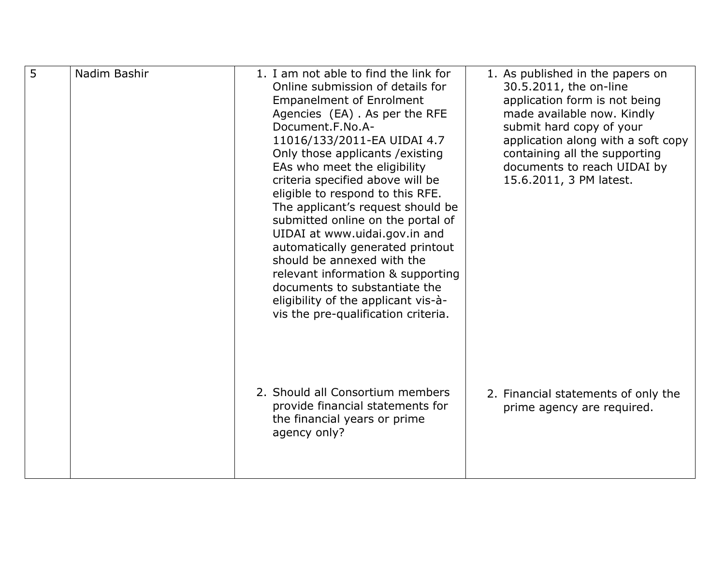| 5 | Nadim Bashir | 1. I am not able to find the link for<br>Online submission of details for<br><b>Empanelment of Enrolment</b><br>Agencies (EA). As per the RFE<br>Document.F.No.A-<br>11016/133/2011-EA UIDAI 4.7<br>Only those applicants / existing<br>EAs who meet the eligibility<br>criteria specified above will be<br>eligible to respond to this RFE.<br>The applicant's request should be<br>submitted online on the portal of<br>UIDAI at www.uidai.gov.in and<br>automatically generated printout<br>should be annexed with the<br>relevant information & supporting<br>documents to substantiate the<br>eligibility of the applicant vis-à-<br>vis the pre-qualification criteria. | 1. As published in the papers on<br>30.5.2011, the on-line<br>application form is not being<br>made available now. Kindly<br>submit hard copy of your<br>application along with a soft copy<br>containing all the supporting<br>documents to reach UIDAI by<br>15.6.2011, 3 PM latest. |
|---|--------------|-------------------------------------------------------------------------------------------------------------------------------------------------------------------------------------------------------------------------------------------------------------------------------------------------------------------------------------------------------------------------------------------------------------------------------------------------------------------------------------------------------------------------------------------------------------------------------------------------------------------------------------------------------------------------------|----------------------------------------------------------------------------------------------------------------------------------------------------------------------------------------------------------------------------------------------------------------------------------------|
|   |              | 2. Should all Consortium members<br>provide financial statements for<br>the financial years or prime<br>agency only?                                                                                                                                                                                                                                                                                                                                                                                                                                                                                                                                                          | 2. Financial statements of only the<br>prime agency are required.                                                                                                                                                                                                                      |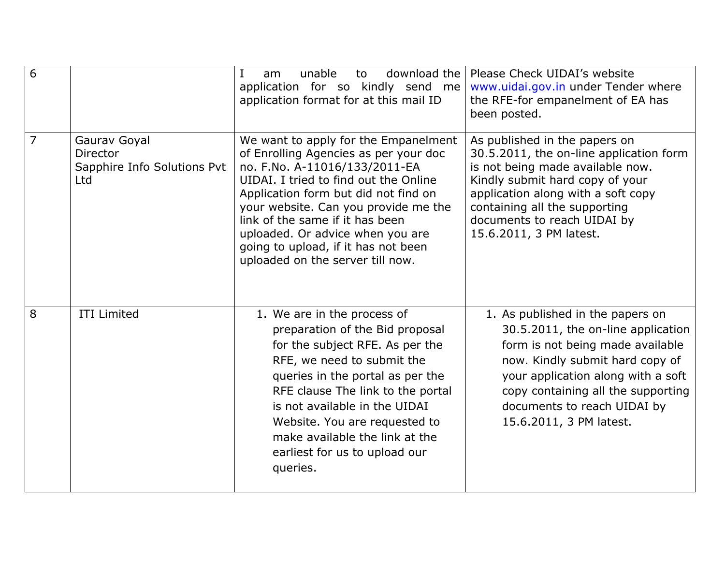| $\overline{6}$ |                                                                | download the<br>unable<br>I<br>am<br>to<br>application for so kindly send me<br>application format for at this mail ID                                                                                                                                                                                                                                                                    | Please Check UIDAI's website<br>www.uidai.gov.in under Tender where<br>the RFE-for empanelment of EA has<br>been posted.                                                                                                                                                            |
|----------------|----------------------------------------------------------------|-------------------------------------------------------------------------------------------------------------------------------------------------------------------------------------------------------------------------------------------------------------------------------------------------------------------------------------------------------------------------------------------|-------------------------------------------------------------------------------------------------------------------------------------------------------------------------------------------------------------------------------------------------------------------------------------|
| $\overline{7}$ | Gaurav Goyal<br>Director<br>Sapphire Info Solutions Pvt<br>Ltd | We want to apply for the Empanelment<br>of Enrolling Agencies as per your doc<br>no. F.No. A-11016/133/2011-EA<br>UIDAI. I tried to find out the Online<br>Application form but did not find on<br>your website. Can you provide me the<br>link of the same if it has been<br>uploaded. Or advice when you are<br>going to upload, if it has not been<br>uploaded on the server till now. | As published in the papers on<br>30.5.2011, the on-line application form<br>is not being made available now.<br>Kindly submit hard copy of your<br>application along with a soft copy<br>containing all the supporting<br>documents to reach UIDAI by<br>15.6.2011, 3 PM latest.    |
| 8              | <b>ITI Limited</b>                                             | 1. We are in the process of<br>preparation of the Bid proposal<br>for the subject RFE. As per the<br>RFE, we need to submit the<br>queries in the portal as per the<br>RFE clause The link to the portal<br>is not available in the UIDAI<br>Website. You are requested to<br>make available the link at the<br>earliest for us to upload our<br>queries.                                 | 1. As published in the papers on<br>30.5.2011, the on-line application<br>form is not being made available<br>now. Kindly submit hard copy of<br>your application along with a soft<br>copy containing all the supporting<br>documents to reach UIDAI by<br>15.6.2011, 3 PM latest. |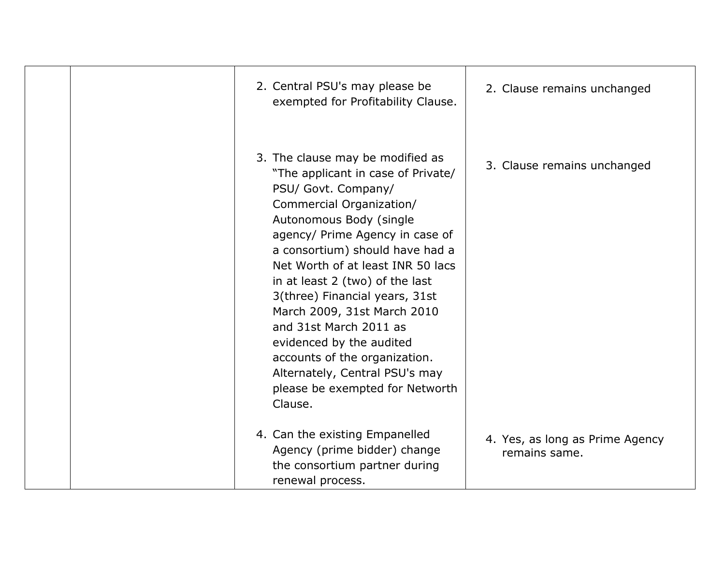| 2. Central PSU's may please be<br>exempted for Profitability Clause.                                                                                                                                                                                                                                                                                                                                                                                                                                                                       | 2. Clause remains unchanged                      |
|--------------------------------------------------------------------------------------------------------------------------------------------------------------------------------------------------------------------------------------------------------------------------------------------------------------------------------------------------------------------------------------------------------------------------------------------------------------------------------------------------------------------------------------------|--------------------------------------------------|
| 3. The clause may be modified as<br>"The applicant in case of Private/<br>PSU/ Govt. Company/<br>Commercial Organization/<br>Autonomous Body (single<br>agency/ Prime Agency in case of<br>a consortium) should have had a<br>Net Worth of at least INR 50 lacs<br>in at least 2 (two) of the last<br>3(three) Financial years, 31st<br>March 2009, 31st March 2010<br>and 31st March 2011 as<br>evidenced by the audited<br>accounts of the organization.<br>Alternately, Central PSU's may<br>please be exempted for Networth<br>Clause. | 3. Clause remains unchanged                      |
| 4. Can the existing Empanelled<br>Agency (prime bidder) change<br>the consortium partner during<br>renewal process.                                                                                                                                                                                                                                                                                                                                                                                                                        | 4. Yes, as long as Prime Agency<br>remains same. |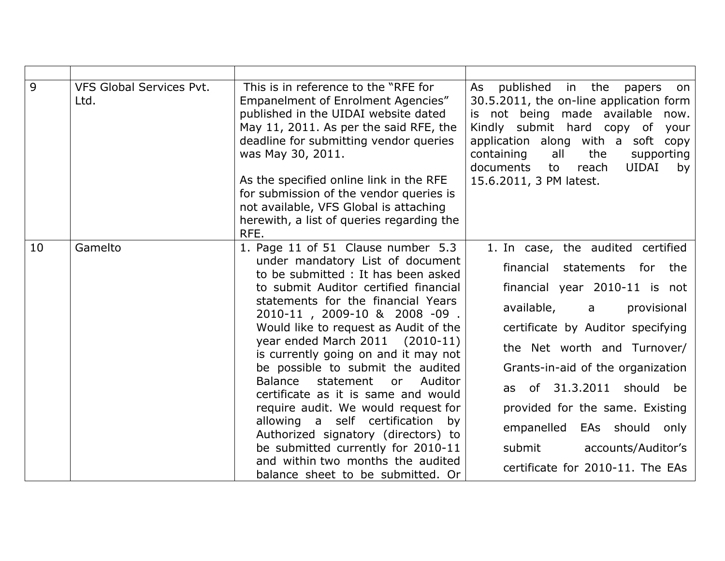| 9  | <b>VFS Global Services Pvt.</b><br>Ltd. | This is in reference to the "RFE for<br>Empanelment of Enrolment Agencies"<br>published in the UIDAI website dated<br>May 11, 2011. As per the said RFE, the<br>deadline for submitting vendor queries<br>was May 30, 2011.<br>As the specified online link in the RFE<br>for submission of the vendor queries is<br>not available, VFS Global is attaching<br>herewith, a list of queries regarding the<br>RFE.                                                                                                                                                                                                                                                                                           | published in the<br>As<br>papers<br>on<br>30.5.2011, the on-line application form<br>is not being made available now.<br>Kindly submit hard copy of<br>your<br>application along with a soft copy<br>containing<br>all<br>the<br>supporting<br>documents<br><b>UIDAI</b><br>reach<br>to<br>by<br>15.6.2011, 3 PM latest.                                                                                                         |
|----|-----------------------------------------|------------------------------------------------------------------------------------------------------------------------------------------------------------------------------------------------------------------------------------------------------------------------------------------------------------------------------------------------------------------------------------------------------------------------------------------------------------------------------------------------------------------------------------------------------------------------------------------------------------------------------------------------------------------------------------------------------------|----------------------------------------------------------------------------------------------------------------------------------------------------------------------------------------------------------------------------------------------------------------------------------------------------------------------------------------------------------------------------------------------------------------------------------|
| 10 | Gamelto                                 | 1. Page 11 of 51 Clause number 5.3<br>under mandatory List of document<br>to be submitted : It has been asked<br>to submit Auditor certified financial<br>statements for the financial Years<br>2010-11, 2009-10 & 2008 -09.<br>Would like to request as Audit of the<br>year ended March 2011 (2010-11)<br>is currently going on and it may not<br>be possible to submit the audited<br>Auditor<br>Balance<br>statement<br>or<br>certificate as it is same and would<br>require audit. We would request for<br>allowing a self certification<br>by<br>Authorized signatory (directors) to<br>be submitted currently for 2010-11<br>and within two months the audited<br>balance sheet to be submitted. Or | 1. In case, the audited certified<br>financial<br>statements for the<br>financial year 2010-11 is not<br>available,<br>provisional<br>$\mathsf{a}$<br>certificate by Auditor specifying<br>the Net worth and Turnover/<br>Grants-in-aid of the organization<br>as of 31.3.2011 should be<br>provided for the same. Existing<br>empanelled<br>EAs should only<br>submit<br>accounts/Auditor's<br>certificate for 2010-11. The EAs |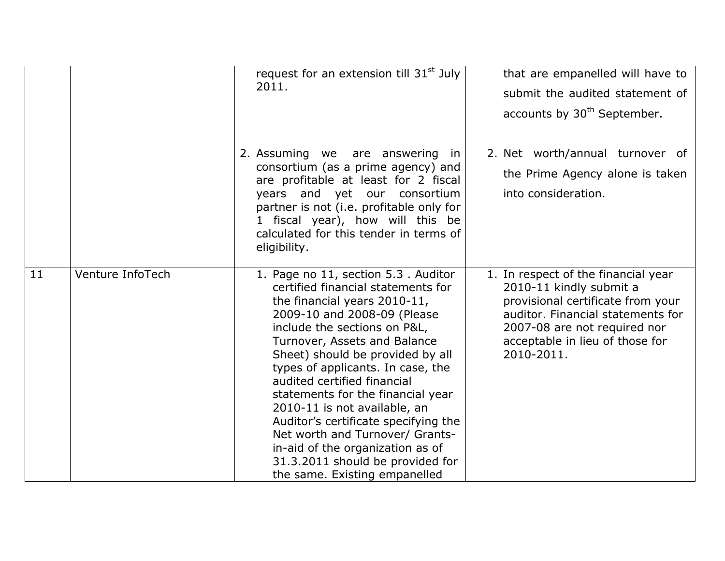|    |                  | request for an extension till 31 <sup>st</sup> July<br>2011.                                                                                                                                                                                                                                                                                                                                                                                                                                                                                                              | that are empanelled will have to<br>submit the audited statement of<br>accounts by 30 <sup>th</sup> September.                                                                                                            |
|----|------------------|---------------------------------------------------------------------------------------------------------------------------------------------------------------------------------------------------------------------------------------------------------------------------------------------------------------------------------------------------------------------------------------------------------------------------------------------------------------------------------------------------------------------------------------------------------------------------|---------------------------------------------------------------------------------------------------------------------------------------------------------------------------------------------------------------------------|
|    |                  | 2. Assuming we are answering in<br>consortium (as a prime agency) and<br>are profitable at least for 2 fiscal<br>years and yet our consortium<br>partner is not (i.e. profitable only for<br>1 fiscal year), how will this be<br>calculated for this tender in terms of<br>eligibility.                                                                                                                                                                                                                                                                                   | 2. Net worth/annual turnover of<br>the Prime Agency alone is taken<br>into consideration.                                                                                                                                 |
| 11 | Venture InfoTech | 1. Page no 11, section 5.3. Auditor<br>certified financial statements for<br>the financial years 2010-11,<br>2009-10 and 2008-09 (Please<br>include the sections on P&L,<br>Turnover, Assets and Balance<br>Sheet) should be provided by all<br>types of applicants. In case, the<br>audited certified financial<br>statements for the financial year<br>2010-11 is not available, an<br>Auditor's certificate specifying the<br>Net worth and Turnover/ Grants-<br>in-aid of the organization as of<br>31.3.2011 should be provided for<br>the same. Existing empanelled | 1. In respect of the financial year<br>2010-11 kindly submit a<br>provisional certificate from your<br>auditor. Financial statements for<br>2007-08 are not required nor<br>acceptable in lieu of those for<br>2010-2011. |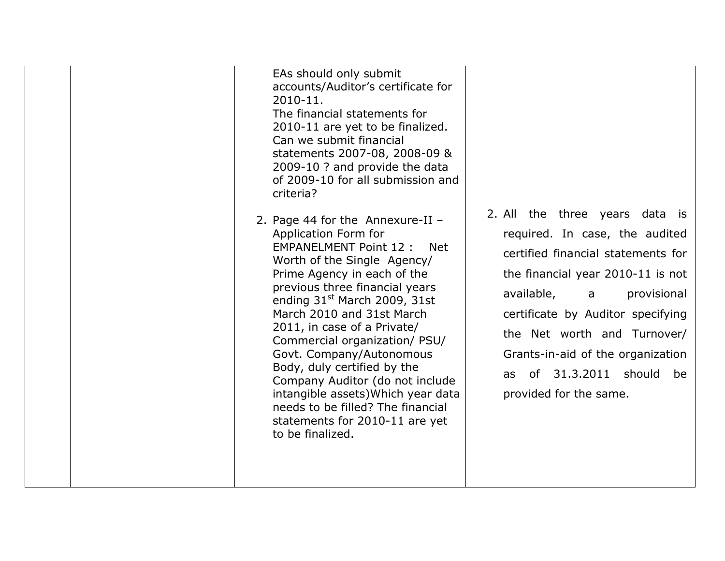| EAs should only submit<br>accounts/Auditor's certificate for<br>2010-11.<br>The financial statements for<br>2010-11 are yet to be finalized.<br>Can we submit financial<br>statements 2007-08, 2008-09 &<br>2009-10 ? and provide the data<br>of 2009-10 for all submission and<br>criteria?                                                                                                                                                                                                                                                                                     |                                                                                                                                                                                                                                                                                                                                               |
|----------------------------------------------------------------------------------------------------------------------------------------------------------------------------------------------------------------------------------------------------------------------------------------------------------------------------------------------------------------------------------------------------------------------------------------------------------------------------------------------------------------------------------------------------------------------------------|-----------------------------------------------------------------------------------------------------------------------------------------------------------------------------------------------------------------------------------------------------------------------------------------------------------------------------------------------|
| 2. Page 44 for the Annexure-II $-$<br>Application Form for<br><b>EMPANELMENT Point 12:</b><br><b>Net</b><br>Worth of the Single Agency/<br>Prime Agency in each of the<br>previous three financial years<br>ending 31 <sup>st</sup> March 2009, 31st<br>March 2010 and 31st March<br>2011, in case of a Private/<br>Commercial organization/ PSU/<br>Govt. Company/Autonomous<br>Body, duly certified by the<br>Company Auditor (do not include<br>intangible assets) Which year data<br>needs to be filled? The financial<br>statements for 2010-11 are yet<br>to be finalized. | 2. All the three years data is<br>required. In case, the audited<br>certified financial statements for<br>the financial year 2010-11 is not<br>available,<br>provisional<br>a<br>certificate by Auditor specifying<br>the Net worth and Turnover/<br>Grants-in-aid of the organization<br>as of 31.3.2011 should be<br>provided for the same. |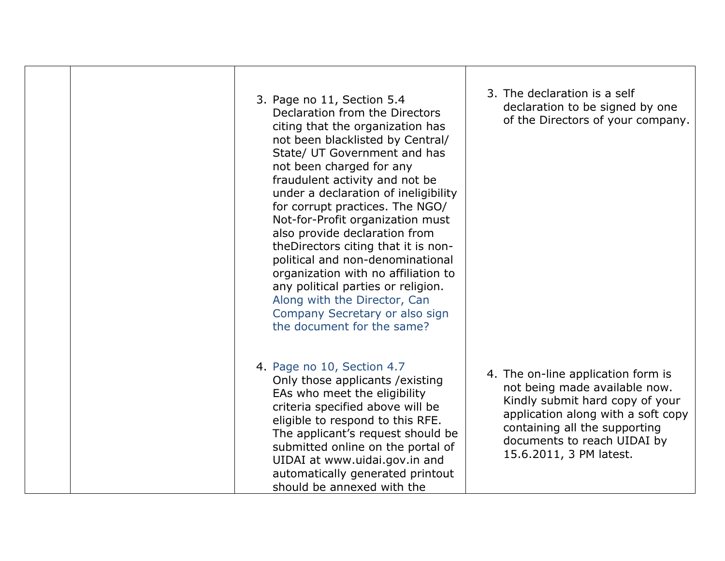| 3. Page no 11, Section 5.4<br>Declaration from the Directors<br>citing that the organization has<br>not been blacklisted by Central/<br>State/ UT Government and has<br>not been charged for any<br>fraudulent activity and not be<br>under a declaration of ineligibility<br>for corrupt practices. The NGO/<br>Not-for-Profit organization must<br>also provide declaration from<br>theDirectors citing that it is non-<br>political and non-denominational<br>organization with no affiliation to<br>any political parties or religion.<br>Along with the Director, Can<br>Company Secretary or also sign<br>the document for the same? | 3. The declaration is a self<br>declaration to be signed by one<br>of the Directors of your company.                                                                                                                                    |
|--------------------------------------------------------------------------------------------------------------------------------------------------------------------------------------------------------------------------------------------------------------------------------------------------------------------------------------------------------------------------------------------------------------------------------------------------------------------------------------------------------------------------------------------------------------------------------------------------------------------------------------------|-----------------------------------------------------------------------------------------------------------------------------------------------------------------------------------------------------------------------------------------|
| 4. Page no 10, Section 4.7<br>Only those applicants / existing<br>EAs who meet the eligibility<br>criteria specified above will be<br>eligible to respond to this RFE.<br>The applicant's request should be<br>submitted online on the portal of<br>UIDAI at www.uidai.gov.in and<br>automatically generated printout<br>should be annexed with the                                                                                                                                                                                                                                                                                        | 4. The on-line application form is<br>not being made available now.<br>Kindly submit hard copy of your<br>application along with a soft copy<br>containing all the supporting<br>documents to reach UIDAI by<br>15.6.2011, 3 PM latest. |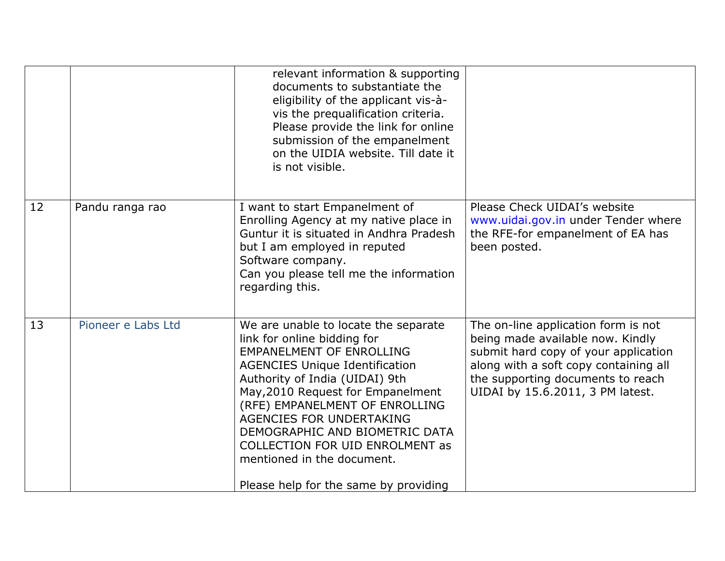|    |                    | relevant information & supporting<br>documents to substantiate the<br>eligibility of the applicant vis-à-<br>vis the prequalification criteria.<br>Please provide the link for online<br>submission of the empanelment<br>on the UIDIA website. Till date it<br>is not visible.                                                                                                                                                                |                                                                                                                                                                                                                                   |
|----|--------------------|------------------------------------------------------------------------------------------------------------------------------------------------------------------------------------------------------------------------------------------------------------------------------------------------------------------------------------------------------------------------------------------------------------------------------------------------|-----------------------------------------------------------------------------------------------------------------------------------------------------------------------------------------------------------------------------------|
| 12 | Pandu ranga rao    | I want to start Empanelment of<br>Enrolling Agency at my native place in<br>Guntur it is situated in Andhra Pradesh<br>but I am employed in reputed<br>Software company.<br>Can you please tell me the information<br>regarding this.                                                                                                                                                                                                          | Please Check UIDAI's website<br>www.uidai.gov.in under Tender where<br>the RFE-for empanelment of EA has<br>been posted.                                                                                                          |
| 13 | Pioneer e Labs Ltd | We are unable to locate the separate<br>link for online bidding for<br><b>EMPANELMENT OF ENROLLING</b><br><b>AGENCIES Unique Identification</b><br>Authority of India (UIDAI) 9th<br>May, 2010 Request for Empanelment<br>(RFE) EMPANELMENT OF ENROLLING<br><b>AGENCIES FOR UNDERTAKING</b><br>DEMOGRAPHIC AND BIOMETRIC DATA<br><b>COLLECTION FOR UID ENROLMENT as</b><br>mentioned in the document.<br>Please help for the same by providing | The on-line application form is not<br>being made available now. Kindly<br>submit hard copy of your application<br>along with a soft copy containing all<br>the supporting documents to reach<br>UIDAI by 15.6.2011, 3 PM latest. |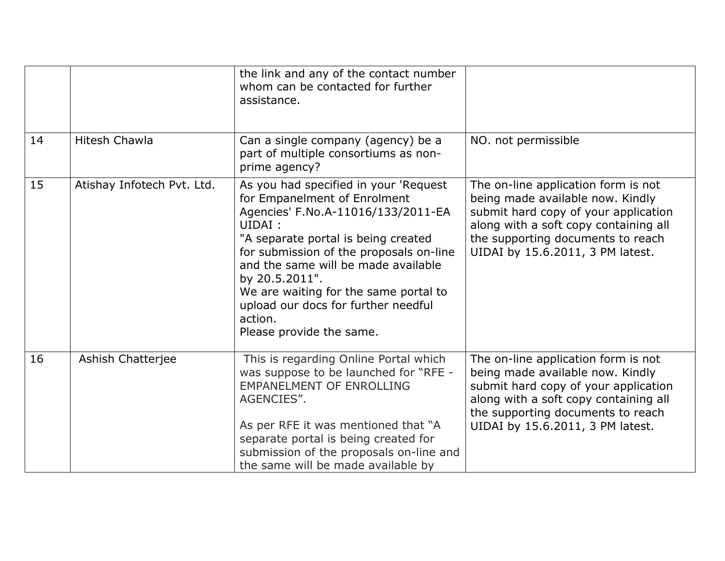|    |                            | the link and any of the contact number<br>whom can be contacted for further<br>assistance.                                                                                                                                                                                                                                                                                              |                                                                                                                                                                                                                                   |
|----|----------------------------|-----------------------------------------------------------------------------------------------------------------------------------------------------------------------------------------------------------------------------------------------------------------------------------------------------------------------------------------------------------------------------------------|-----------------------------------------------------------------------------------------------------------------------------------------------------------------------------------------------------------------------------------|
| 14 | <b>Hitesh Chawla</b>       | Can a single company (agency) be a<br>part of multiple consortiums as non-<br>prime agency?                                                                                                                                                                                                                                                                                             | NO. not permissible                                                                                                                                                                                                               |
| 15 | Atishay Infotech Pvt. Ltd. | As you had specified in your 'Request<br>for Empanelment of Enrolment<br>Agencies' F.No.A-11016/133/2011-EA<br>UIDAI:<br>"A separate portal is being created<br>for submission of the proposals on-line<br>and the same will be made available<br>by 20.5.2011".<br>We are waiting for the same portal to<br>upload our docs for further needful<br>action.<br>Please provide the same. | The on-line application form is not<br>being made available now. Kindly<br>submit hard copy of your application<br>along with a soft copy containing all<br>the supporting documents to reach<br>UIDAI by 15.6.2011, 3 PM latest. |
| 16 | Ashish Chatterjee          | This is regarding Online Portal which<br>was suppose to be launched for "RFE -<br><b>EMPANELMENT OF ENROLLING</b><br>AGENCIES".<br>As per RFE it was mentioned that "A<br>separate portal is being created for<br>submission of the proposals on-line and<br>the same will be made available by                                                                                         | The on-line application form is not<br>being made available now. Kindly<br>submit hard copy of your application<br>along with a soft copy containing all<br>the supporting documents to reach<br>UIDAI by 15.6.2011, 3 PM latest. |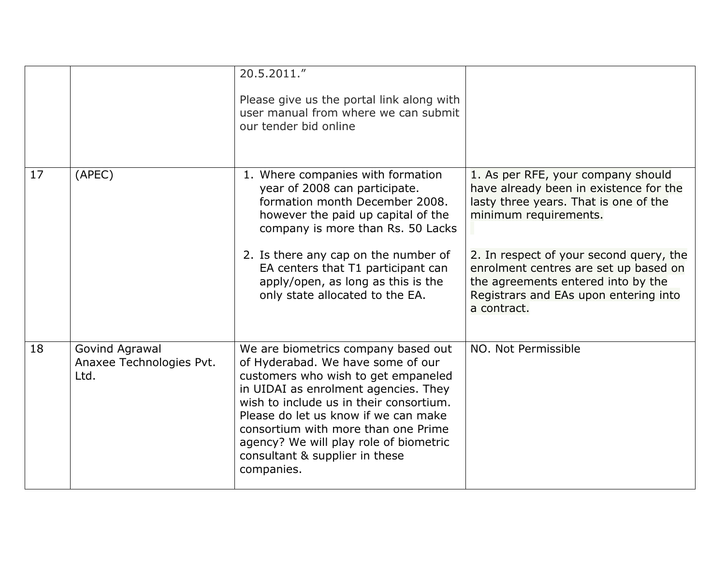|    |                                                    | 20.5.2011."<br>Please give us the portal link along with<br>user manual from where we can submit<br>our tender bid online                                                                                                                                                                                                                                                   |                                                                                                                                                                                                                                                                                                                                  |
|----|----------------------------------------------------|-----------------------------------------------------------------------------------------------------------------------------------------------------------------------------------------------------------------------------------------------------------------------------------------------------------------------------------------------------------------------------|----------------------------------------------------------------------------------------------------------------------------------------------------------------------------------------------------------------------------------------------------------------------------------------------------------------------------------|
| 17 | (APEC)                                             | 1. Where companies with formation<br>year of 2008 can participate.<br>formation month December 2008.<br>however the paid up capital of the<br>company is more than Rs. 50 Lacks<br>2. Is there any cap on the number of<br>EA centers that T1 participant can<br>apply/open, as long as this is the<br>only state allocated to the EA.                                      | 1. As per RFE, your company should<br>have already been in existence for the<br>lasty three years. That is one of the<br>minimum requirements.<br>2. In respect of your second query, the<br>enrolment centres are set up based on<br>the agreements entered into by the<br>Registrars and EAs upon entering into<br>a contract. |
| 18 | Govind Agrawal<br>Anaxee Technologies Pvt.<br>Ltd. | We are biometrics company based out<br>of Hyderabad. We have some of our<br>customers who wish to get empaneled<br>in UIDAI as enrolment agencies. They<br>wish to include us in their consortium.<br>Please do let us know if we can make<br>consortium with more than one Prime<br>agency? We will play role of biometric<br>consultant & supplier in these<br>companies. | NO. Not Permissible                                                                                                                                                                                                                                                                                                              |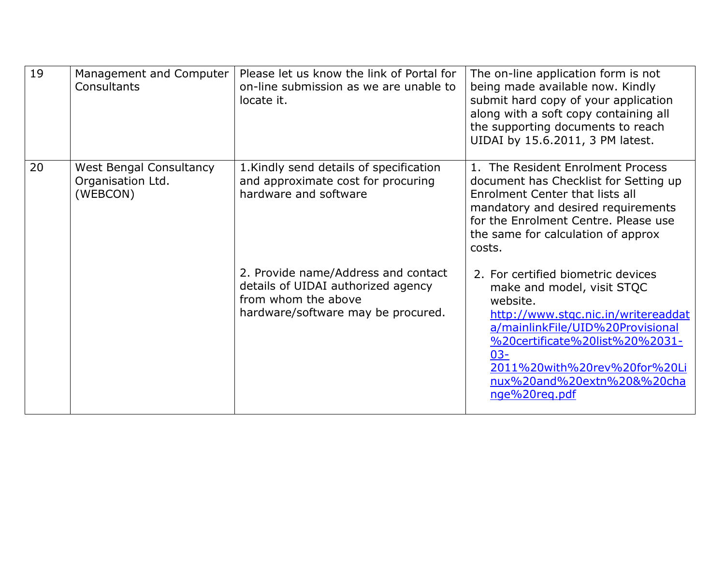| 19 | Management and Computer<br><b>Consultants</b>                   | Please let us know the link of Portal for<br>on-line submission as we are unable to<br>locate it.                                      | The on-line application form is not<br>being made available now. Kindly<br>submit hard copy of your application<br>along with a soft copy containing all<br>the supporting documents to reach<br>UIDAI by 15.6.2011, 3 PM latest.                                                  |
|----|-----------------------------------------------------------------|----------------------------------------------------------------------------------------------------------------------------------------|------------------------------------------------------------------------------------------------------------------------------------------------------------------------------------------------------------------------------------------------------------------------------------|
| 20 | <b>West Bengal Consultancy</b><br>Organisation Ltd.<br>(WEBCON) | 1. Kindly send details of specification<br>and approximate cost for procuring<br>hardware and software                                 | 1. The Resident Enrolment Process<br>document has Checklist for Setting up<br>Enrolment Center that lists all<br>mandatory and desired requirements<br>for the Enrolment Centre. Please use<br>the same for calculation of approx<br>costs.                                        |
|    |                                                                 | 2. Provide name/Address and contact<br>details of UIDAI authorized agency<br>from whom the above<br>hardware/software may be procured. | 2. For certified biometric devices<br>make and model, visit STQC<br>website.<br>http://www.stgc.nic.in/writereaddat<br>a/mainlinkFile/UID%20Provisional<br>%20certificate%20list%20%2031-<br>$03 -$<br>2011%20with%20rev%20for%20Li<br>nux%20and%20extn%20&%20cha<br>nge%20reg.pdf |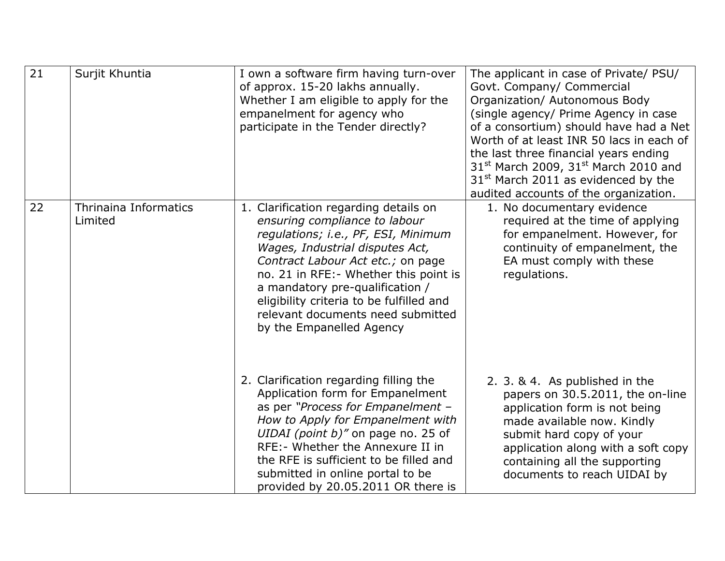| $\overline{21}$ | Surjit Khuntia                          | I own a software firm having turn-over<br>of approx. 15-20 lakhs annually.<br>Whether I am eligible to apply for the<br>empanelment for agency who<br>participate in the Tender directly?                                                                                                                                                                                       | The applicant in case of Private/ PSU/<br>Govt. Company/ Commercial<br>Organization/ Autonomous Body<br>(single agency/ Prime Agency in case<br>of a consortium) should have had a Net<br>Worth of at least INR 50 lacs in each of<br>the last three financial years ending<br>$31st$ March 2009, 31 <sup>st</sup> March 2010 and<br>31 <sup>st</sup> March 2011 as evidenced by the<br>audited accounts of the organization. |
|-----------------|-----------------------------------------|---------------------------------------------------------------------------------------------------------------------------------------------------------------------------------------------------------------------------------------------------------------------------------------------------------------------------------------------------------------------------------|-------------------------------------------------------------------------------------------------------------------------------------------------------------------------------------------------------------------------------------------------------------------------------------------------------------------------------------------------------------------------------------------------------------------------------|
| 22              | <b>Thrinaina Informatics</b><br>Limited | 1. Clarification regarding details on<br>ensuring compliance to labour<br>regulations; i.e., PF, ESI, Minimum<br>Wages, Industrial disputes Act,<br>Contract Labour Act etc.; on page<br>no. 21 in RFE: - Whether this point is<br>a mandatory pre-qualification /<br>eligibility criteria to be fulfilled and<br>relevant documents need submitted<br>by the Empanelled Agency | 1. No documentary evidence<br>required at the time of applying<br>for empanelment. However, for<br>continuity of empanelment, the<br>EA must comply with these<br>regulations.                                                                                                                                                                                                                                                |
|                 |                                         | 2. Clarification regarding filling the<br>Application form for Empanelment<br>as per "Process for Empanelment -<br>How to Apply for Empanelment with<br>UIDAI (point b)" on page no. 25 of<br>RFE: - Whether the Annexure II in<br>the RFE is sufficient to be filled and<br>submitted in online portal to be<br>provided by 20.05.2011 OR there is                             | 2. 3. & 4. As published in the<br>papers on 30.5.2011, the on-line<br>application form is not being<br>made available now. Kindly<br>submit hard copy of your<br>application along with a soft copy<br>containing all the supporting<br>documents to reach UIDAI by                                                                                                                                                           |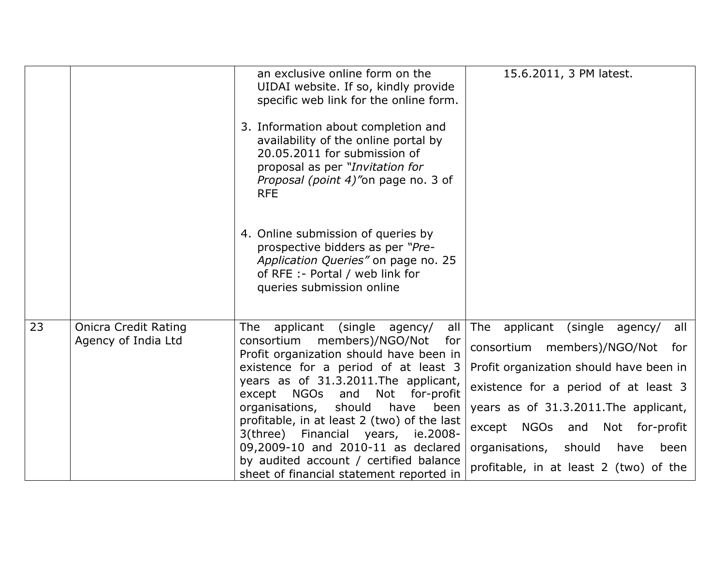|    |                                                    | an exclusive online form on the<br>UIDAI website. If so, kindly provide<br>specific web link for the online form.<br>3. Information about completion and<br>availability of the online portal by<br>20.05.2011 for submission of<br>proposal as per "Invitation for<br>Proposal (point 4)"on page no. 3 of<br><b>RFE</b><br>4. Online submission of queries by<br>prospective bidders as per "Pre-<br>Application Queries" on page no. 25<br>of RFE :- Portal / web link for<br>queries submission online                | 15.6.2011, 3 PM latest.                                                                                                                                                                                                                                                                                                        |
|----|----------------------------------------------------|--------------------------------------------------------------------------------------------------------------------------------------------------------------------------------------------------------------------------------------------------------------------------------------------------------------------------------------------------------------------------------------------------------------------------------------------------------------------------------------------------------------------------|--------------------------------------------------------------------------------------------------------------------------------------------------------------------------------------------------------------------------------------------------------------------------------------------------------------------------------|
| 23 | <b>Onicra Credit Rating</b><br>Agency of India Ltd | applicant<br>(single agency/<br>all<br>The<br>members)/NGO/Not<br>consortium<br>for<br>Profit organization should have been in<br>existence for a period of at least 3<br>years as of 31.3.2011. The applicant,<br><b>NGOs</b><br>and<br>Not<br>for-profit<br>except<br>organisations, should have been<br>profitable, in at least 2 (two) of the last<br>3(three) Financial years, ie.2008-<br>09,2009-10 and 2010-11 as declared<br>by audited account / certified balance<br>sheet of financial statement reported in | The applicant<br>(single agency/<br>all<br>members)/NGO/Not for<br>consortium<br>Profit organization should have been in<br>existence for a period of at least 3<br>years as of 31.3.2011. The applicant,<br>except NGOs and Not for-profit<br>organisations, should<br>have<br>been<br>profitable, in at least 2 (two) of the |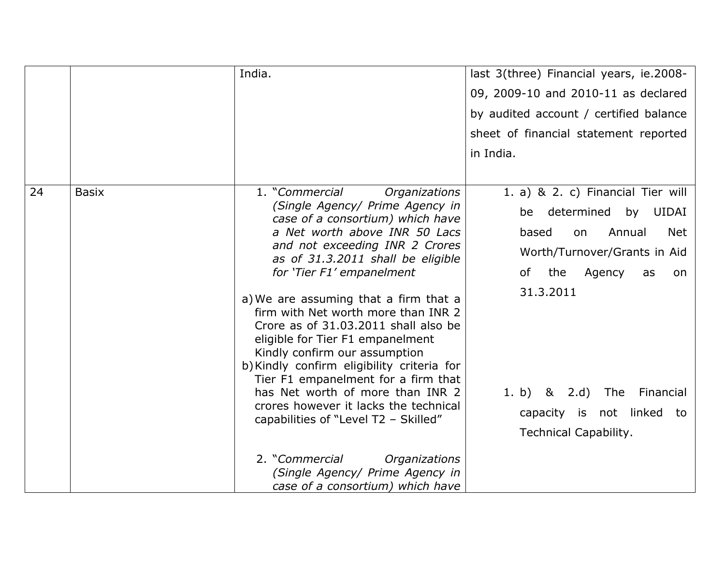|    |              | India.                                                                                                                                                                                                                                                                                                                                                                                              | last 3(three) Financial years, ie.2008-                                                          |
|----|--------------|-----------------------------------------------------------------------------------------------------------------------------------------------------------------------------------------------------------------------------------------------------------------------------------------------------------------------------------------------------------------------------------------------------|--------------------------------------------------------------------------------------------------|
|    |              |                                                                                                                                                                                                                                                                                                                                                                                                     | 09, 2009-10 and 2010-11 as declared                                                              |
|    |              |                                                                                                                                                                                                                                                                                                                                                                                                     | by audited account / certified balance                                                           |
|    |              |                                                                                                                                                                                                                                                                                                                                                                                                     | sheet of financial statement reported                                                            |
|    |              |                                                                                                                                                                                                                                                                                                                                                                                                     | in India.                                                                                        |
|    |              |                                                                                                                                                                                                                                                                                                                                                                                                     |                                                                                                  |
| 24 | <b>Basix</b> | 1. "Commercial<br>Organizations                                                                                                                                                                                                                                                                                                                                                                     | 1. a) & 2. c) Financial Tier will                                                                |
|    |              | (Single Agency/ Prime Agency in<br>case of a consortium) which have                                                                                                                                                                                                                                                                                                                                 | determined by UIDAI<br>be                                                                        |
|    |              | a Net worth above INR 50 Lacs                                                                                                                                                                                                                                                                                                                                                                       | Annual<br><b>Net</b><br>based<br>on                                                              |
|    |              | and not exceeding INR 2 Crores<br>as of 31.3.2011 shall be eligible<br>for 'Tier F1' empanelment                                                                                                                                                                                                                                                                                                    | Worth/Turnover/Grants in Aid                                                                     |
|    |              |                                                                                                                                                                                                                                                                                                                                                                                                     | the<br>Agency<br>of<br>as<br>on                                                                  |
|    |              | a) We are assuming that a firm that a<br>firm with Net worth more than INR 2<br>Crore as of 31.03.2011 shall also be<br>eligible for Tier F1 empanelment<br>Kindly confirm our assumption<br>b) Kindly confirm eligibility criteria for<br>Tier F1 empanelment for a firm that<br>has Net worth of more than INR 2<br>crores however it lacks the technical<br>capabilities of "Level T2 - Skilled" | 31.3.2011<br>1. b) & 2.d) The<br>Financial<br>capacity is not linked to<br>Technical Capability. |
|    |              | 2. "Commercial<br>Organizations<br>(Single Agency/ Prime Agency in<br>case of a consortium) which have                                                                                                                                                                                                                                                                                              |                                                                                                  |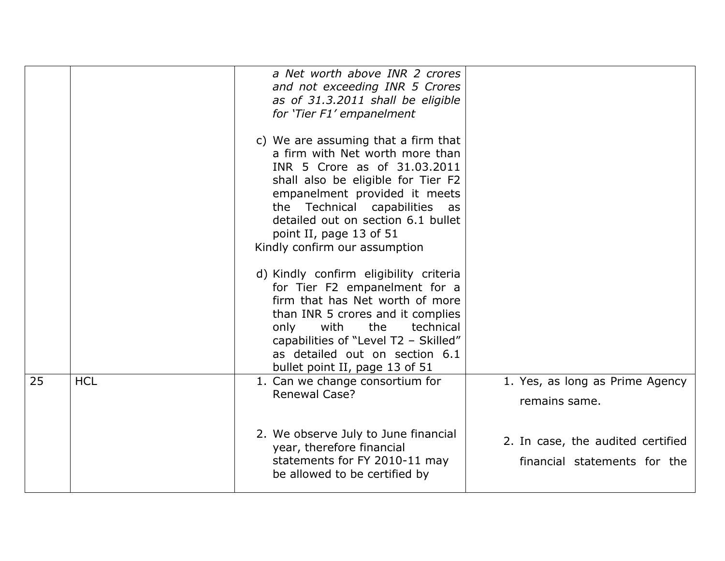|    |            | a Net worth above INR 2 crores<br>and not exceeding INR 5 Crores<br>as of 31.3.2011 shall be eligible<br>for 'Tier F1' empanelment<br>c) We are assuming that a firm that<br>a firm with Net worth more than<br>INR 5 Crore as of 31.03.2011<br>shall also be eligible for Tier F2<br>empanelment provided it meets<br>the Technical capabilities as<br>detailed out on section 6.1 bullet<br>point II, page 13 of 51<br>Kindly confirm our assumption |                                                                   |
|----|------------|--------------------------------------------------------------------------------------------------------------------------------------------------------------------------------------------------------------------------------------------------------------------------------------------------------------------------------------------------------------------------------------------------------------------------------------------------------|-------------------------------------------------------------------|
|    |            | d) Kindly confirm eligibility criteria<br>for Tier F2 empanelment for a<br>firm that has Net worth of more<br>than INR 5 crores and it complies<br>with<br>the<br>technical<br>only<br>capabilities of "Level T2 - Skilled"<br>as detailed out on section 6.1<br>bullet point II, page 13 of 51                                                                                                                                                        |                                                                   |
| 25 | <b>HCL</b> | 1. Can we change consortium for<br><b>Renewal Case?</b>                                                                                                                                                                                                                                                                                                                                                                                                | 1. Yes, as long as Prime Agency<br>remains same.                  |
|    |            | 2. We observe July to June financial<br>year, therefore financial<br>statements for FY 2010-11 may<br>be allowed to be certified by                                                                                                                                                                                                                                                                                                                    | 2. In case, the audited certified<br>financial statements for the |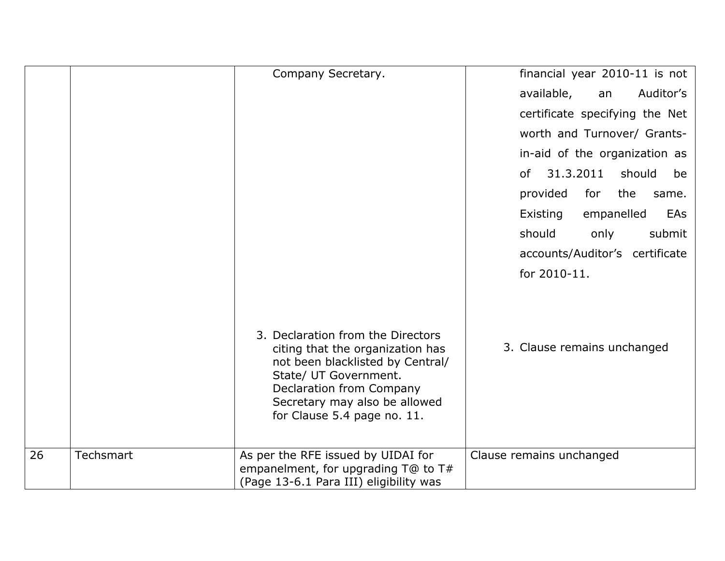|    |           | Company Secretary.                                                                                                                                                                                                             | financial year 2010-11 is not   |
|----|-----------|--------------------------------------------------------------------------------------------------------------------------------------------------------------------------------------------------------------------------------|---------------------------------|
|    |           |                                                                                                                                                                                                                                | Auditor's<br>available,<br>an   |
|    |           |                                                                                                                                                                                                                                | certificate specifying the Net  |
|    |           |                                                                                                                                                                                                                                | worth and Turnover/ Grants-     |
|    |           |                                                                                                                                                                                                                                | in-aid of the organization as   |
|    |           |                                                                                                                                                                                                                                | 31.3.2011<br>should<br>be<br>0f |
|    |           |                                                                                                                                                                                                                                | provided<br>the<br>for<br>same. |
|    |           |                                                                                                                                                                                                                                | Existing<br>empanelled<br>EAs   |
|    |           |                                                                                                                                                                                                                                | should<br>submit<br>only        |
|    |           |                                                                                                                                                                                                                                | accounts/Auditor's certificate  |
|    |           |                                                                                                                                                                                                                                | for 2010-11.                    |
|    |           | 3. Declaration from the Directors<br>citing that the organization has<br>not been blacklisted by Central/<br>State/ UT Government.<br>Declaration from Company<br>Secretary may also be allowed<br>for Clause 5.4 page no. 11. | 3. Clause remains unchanged     |
| 26 | Techsmart | As per the RFE issued by UIDAI for                                                                                                                                                                                             | Clause remains unchanged        |
|    |           | empanelment, for upgrading $T@$ to $T#$<br>(Page 13-6.1 Para III) eligibility was                                                                                                                                              |                                 |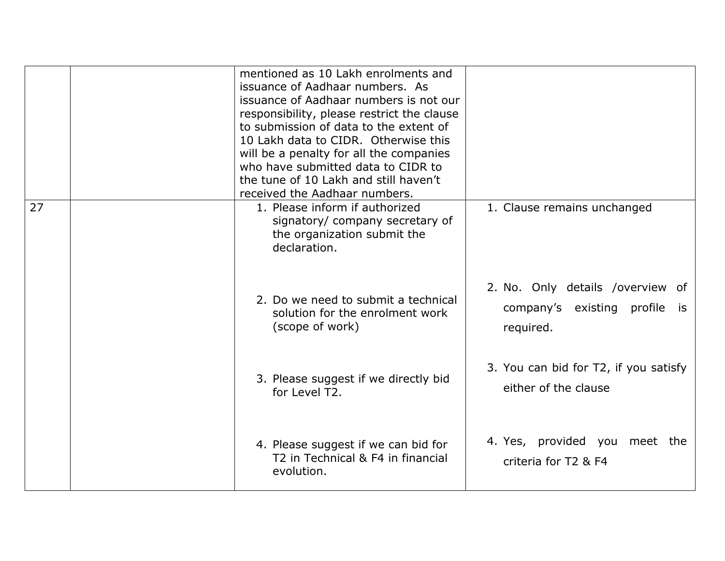|    | mentioned as 10 Lakh enrolments and<br>issuance of Aadhaar numbers. As<br>issuance of Aadhaar numbers is not our<br>responsibility, please restrict the clause<br>to submission of data to the extent of<br>10 Lakh data to CIDR. Otherwise this<br>will be a penalty for all the companies<br>who have submitted data to CIDR to<br>the tune of 10 Lakh and still haven't<br>received the Aadhaar numbers. |                                                                                   |
|----|-------------------------------------------------------------------------------------------------------------------------------------------------------------------------------------------------------------------------------------------------------------------------------------------------------------------------------------------------------------------------------------------------------------|-----------------------------------------------------------------------------------|
| 27 | 1. Please inform if authorized<br>signatory/ company secretary of<br>the organization submit the<br>declaration.                                                                                                                                                                                                                                                                                            | 1. Clause remains unchanged                                                       |
|    | 2. Do we need to submit a technical<br>solution for the enrolment work<br>(scope of work)                                                                                                                                                                                                                                                                                                                   | 2. No. Only details /overview of<br>company's existing profile<br>is<br>required. |
|    | 3. Please suggest if we directly bid<br>for Level T2.                                                                                                                                                                                                                                                                                                                                                       | 3. You can bid for T2, if you satisfy<br>either of the clause                     |
|    | 4. Please suggest if we can bid for<br>T2 in Technical & F4 in financial<br>evolution.                                                                                                                                                                                                                                                                                                                      | 4. Yes, provided you meet the<br>criteria for T2 & F4                             |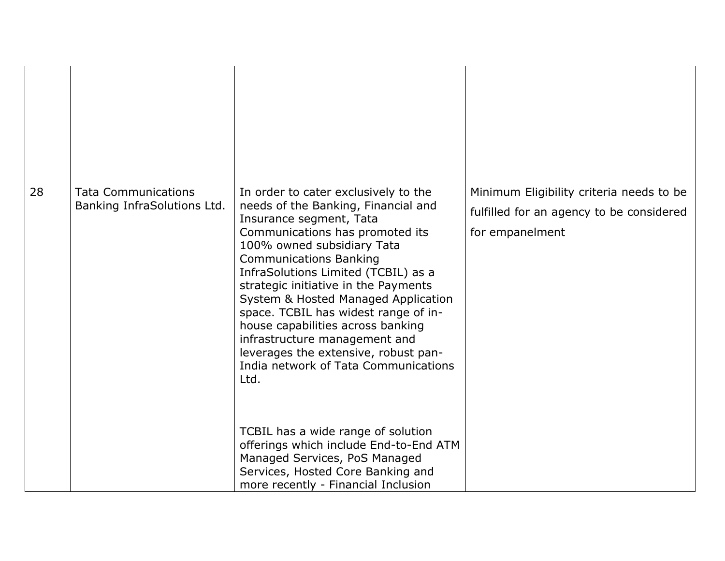| 28 | <b>Tata Communications</b><br>Banking InfraSolutions Ltd. | In order to cater exclusively to the<br>needs of the Banking, Financial and<br>Insurance segment, Tata<br>Communications has promoted its<br>100% owned subsidiary Tata<br><b>Communications Banking</b><br>InfraSolutions Limited (TCBIL) as a<br>strategic initiative in the Payments<br>System & Hosted Managed Application<br>space. TCBIL has widest range of in-<br>house capabilities across banking<br>infrastructure management and<br>leverages the extensive, robust pan-<br>India network of Tata Communications<br>Ltd. | Minimum Eligibility criteria needs to be<br>fulfilled for an agency to be considered<br>for empanelment |
|----|-----------------------------------------------------------|--------------------------------------------------------------------------------------------------------------------------------------------------------------------------------------------------------------------------------------------------------------------------------------------------------------------------------------------------------------------------------------------------------------------------------------------------------------------------------------------------------------------------------------|---------------------------------------------------------------------------------------------------------|
|    |                                                           | TCBIL has a wide range of solution<br>offerings which include End-to-End ATM<br>Managed Services, PoS Managed<br>Services, Hosted Core Banking and<br>more recently - Financial Inclusion                                                                                                                                                                                                                                                                                                                                            |                                                                                                         |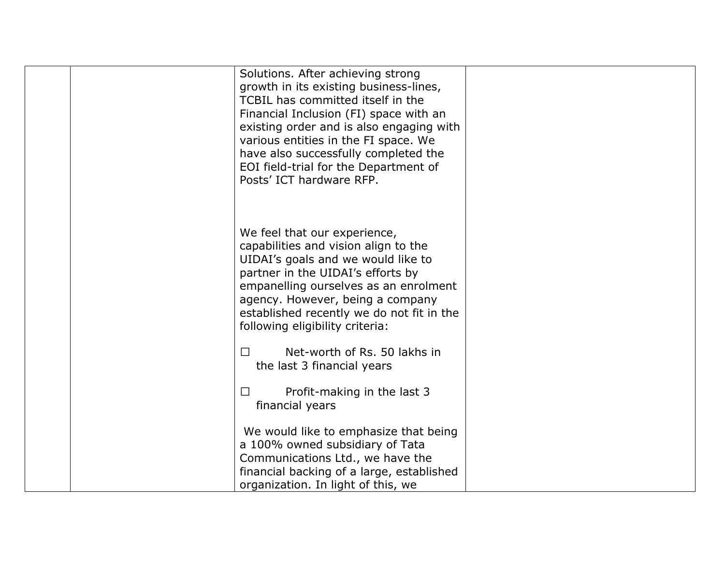| Solutions. After achieving strong<br>growth in its existing business-lines,<br>TCBIL has committed itself in the<br>Financial Inclusion (FI) space with an<br>existing order and is also engaging with<br>various entities in the FI space. We<br>have also successfully completed the<br>EOI field-trial for the Department of<br>Posts' ICT hardware RFP. |  |
|-------------------------------------------------------------------------------------------------------------------------------------------------------------------------------------------------------------------------------------------------------------------------------------------------------------------------------------------------------------|--|
| We feel that our experience,<br>capabilities and vision align to the<br>UIDAI's goals and we would like to<br>partner in the UIDAI's efforts by<br>empanelling ourselves as an enrolment<br>agency. However, being a company<br>established recently we do not fit in the<br>following eligibility criteria:                                                |  |
| Net-worth of Rs. 50 lakhs in<br>Q<br>the last 3 financial years                                                                                                                                                                                                                                                                                             |  |
| Profit-making in the last 3<br>Q<br>financial years                                                                                                                                                                                                                                                                                                         |  |
| We would like to emphasize that being<br>a 100% owned subsidiary of Tata<br>Communications Ltd., we have the<br>financial backing of a large, established<br>organization. In light of this, we                                                                                                                                                             |  |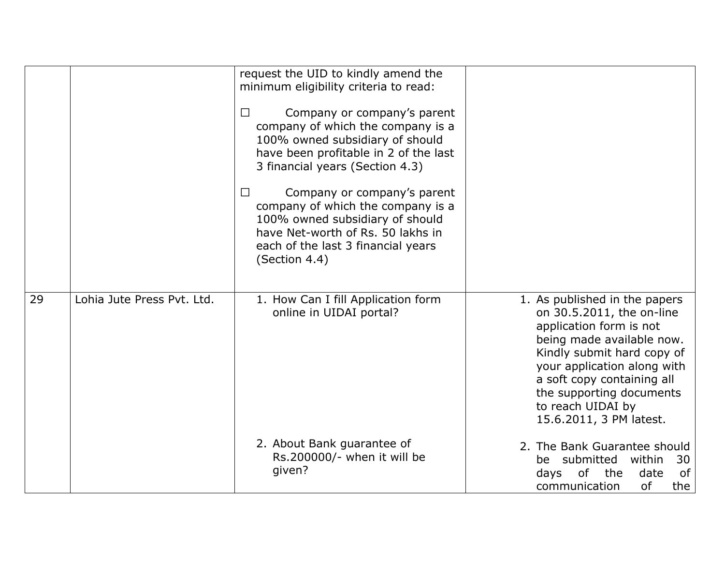|    |                            | request the UID to kindly amend the<br>minimum eligibility criteria to read:<br>Company or company's parent<br>Q<br>company of which the company is a<br>100% owned subsidiary of should<br>have been profitable in 2 of the last<br>3 financial years (Section 4.3)<br>Company or company's parent<br>Q<br>company of which the company is a<br>100% owned subsidiary of should<br>have Net-worth of Rs. 50 lakhs in<br>each of the last 3 financial years<br>(Section 4.4) |                                                                                                                                                                                                                                                                                           |
|----|----------------------------|------------------------------------------------------------------------------------------------------------------------------------------------------------------------------------------------------------------------------------------------------------------------------------------------------------------------------------------------------------------------------------------------------------------------------------------------------------------------------|-------------------------------------------------------------------------------------------------------------------------------------------------------------------------------------------------------------------------------------------------------------------------------------------|
| 29 | Lohia Jute Press Pyt. Ltd. | 1. How Can I fill Application form<br>online in UIDAI portal?                                                                                                                                                                                                                                                                                                                                                                                                                | 1. As published in the papers<br>on 30.5.2011, the on-line<br>application form is not<br>being made available now.<br>Kindly submit hard copy of<br>your application along with<br>a soft copy containing all<br>the supporting documents<br>to reach UIDAI by<br>15.6.2011, 3 PM latest. |
|    |                            | 2. About Bank guarantee of<br>Rs.200000/- when it will be<br>given?                                                                                                                                                                                                                                                                                                                                                                                                          | 2. The Bank Guarantee should<br>be submitted within<br>30<br>of<br>of<br>the<br>days<br>date<br>of<br>communication<br>the                                                                                                                                                                |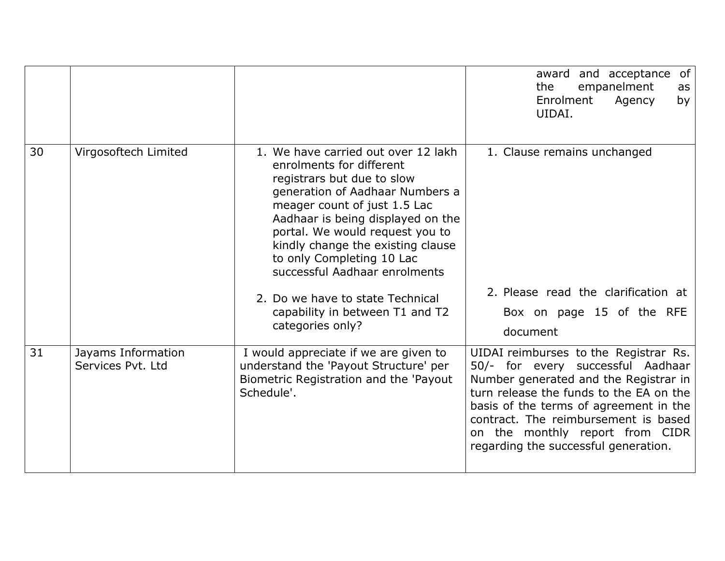|    |                                         |                                                                                                                                                                                                                                                                                                                                             | of<br>and acceptance<br>award<br>empanelment<br>the<br>as<br>Enrolment<br>Agency<br>by<br>UIDAI.                                                                                                                                                                                                                            |
|----|-----------------------------------------|---------------------------------------------------------------------------------------------------------------------------------------------------------------------------------------------------------------------------------------------------------------------------------------------------------------------------------------------|-----------------------------------------------------------------------------------------------------------------------------------------------------------------------------------------------------------------------------------------------------------------------------------------------------------------------------|
| 30 | Virgosoftech Limited                    | 1. We have carried out over 12 lakh<br>enrolments for different<br>registrars but due to slow<br>generation of Aadhaar Numbers a<br>meager count of just 1.5 Lac<br>Aadhaar is being displayed on the<br>portal. We would request you to<br>kindly change the existing clause<br>to only Completing 10 Lac<br>successful Aadhaar enrolments | 1. Clause remains unchanged<br>2. Please read the clarification at                                                                                                                                                                                                                                                          |
|    |                                         | 2. Do we have to state Technical<br>capability in between T1 and T2<br>categories only?                                                                                                                                                                                                                                                     | Box on page 15 of the RFE<br>document                                                                                                                                                                                                                                                                                       |
| 31 | Jayams Information<br>Services Pvt. Ltd | I would appreciate if we are given to<br>understand the 'Payout Structure' per<br>Biometric Registration and the 'Payout<br>Schedule'.                                                                                                                                                                                                      | UIDAI reimburses to the Registrar Rs.<br>50/- for every successful Aadhaar<br>Number generated and the Registrar in<br>turn release the funds to the EA on the<br>basis of the terms of agreement in the<br>contract. The reimbursement is based<br>on the monthly report from CIDR<br>regarding the successful generation. |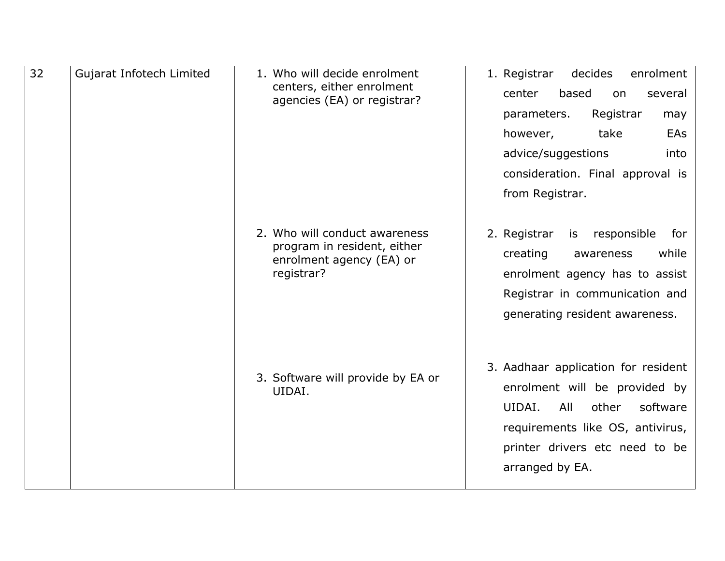| 32 | Gujarat Infotech Limited | 1. Who will decide enrolment<br>centers, either enrolment<br>agencies (EA) or registrar?               | 1. Registrar<br>decides<br>enrolment<br>based<br>center<br>on<br>several<br>Registrar<br>parameters.<br>may<br>however,<br>take<br>EAs<br>advice/suggestions<br>into<br>consideration. Final approval is<br>from Registrar. |
|----|--------------------------|--------------------------------------------------------------------------------------------------------|-----------------------------------------------------------------------------------------------------------------------------------------------------------------------------------------------------------------------------|
|    |                          | 2. Who will conduct awareness<br>program in resident, either<br>enrolment agency (EA) or<br>registrar? | is responsible<br>2. Registrar<br>for<br>while<br>creating<br>awareness<br>enrolment agency has to assist<br>Registrar in communication and<br>generating resident awareness.                                               |
|    |                          | 3. Software will provide by EA or<br>UIDAI.                                                            | 3. Aadhaar application for resident<br>enrolment will be provided by<br>UIDAI.<br>All<br>other<br>software<br>requirements like OS, antivirus,<br>printer drivers etc need to be<br>arranged by EA.                         |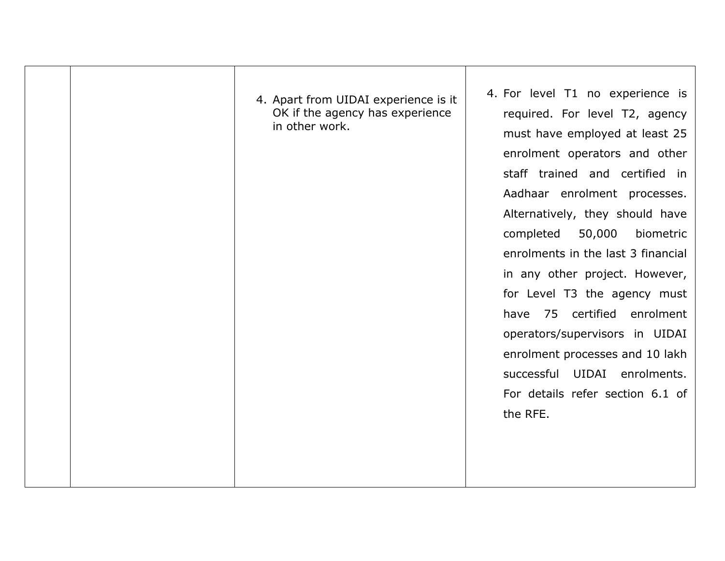| 4. Apart from UIDAI experience is it<br>OK if the agency has experience<br>in other work. | 4. For level T1 no experience is<br>required. For level T2, agency<br>must have employed at least 25<br>enrolment operators and other<br>staff trained and certified in<br>Aadhaar enrolment processes.<br>Alternatively, they should have<br>50,000<br>completed<br>biometric<br>enrolments in the last 3 financial |
|-------------------------------------------------------------------------------------------|----------------------------------------------------------------------------------------------------------------------------------------------------------------------------------------------------------------------------------------------------------------------------------------------------------------------|
|                                                                                           |                                                                                                                                                                                                                                                                                                                      |
|                                                                                           | in any other project. However,                                                                                                                                                                                                                                                                                       |
|                                                                                           | for Level T3 the agency must<br>have 75 certified enrolment                                                                                                                                                                                                                                                          |
|                                                                                           | operators/supervisors in UIDAI                                                                                                                                                                                                                                                                                       |
|                                                                                           | enrolment processes and 10 lakh                                                                                                                                                                                                                                                                                      |
|                                                                                           | UIDAI<br>enrolments.<br>successful                                                                                                                                                                                                                                                                                   |
|                                                                                           | For details refer section 6.1 of                                                                                                                                                                                                                                                                                     |
|                                                                                           | the RFE.                                                                                                                                                                                                                                                                                                             |
|                                                                                           |                                                                                                                                                                                                                                                                                                                      |
|                                                                                           |                                                                                                                                                                                                                                                                                                                      |
|                                                                                           |                                                                                                                                                                                                                                                                                                                      |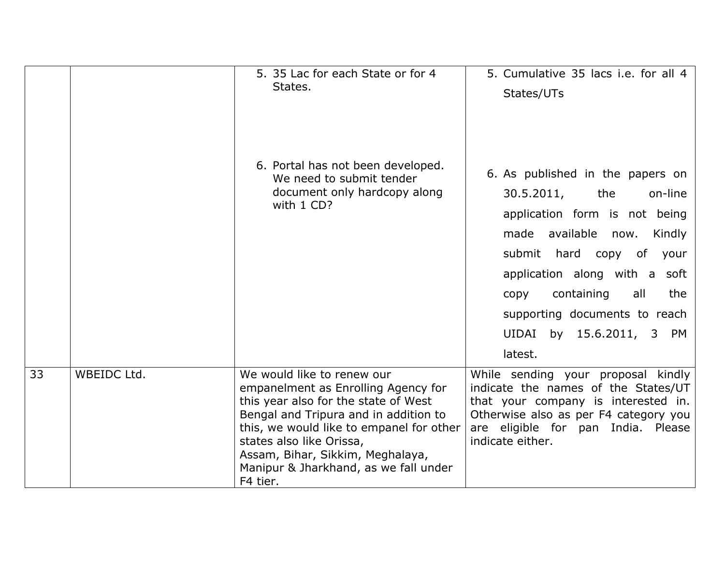|    |             | 5. 35 Lac for each State or for 4                                                                                                                                                                                                                                                                                   | 5. Cumulative 35 lacs i.e. for all 4                                                                                                                                                                                                                                                                        |
|----|-------------|---------------------------------------------------------------------------------------------------------------------------------------------------------------------------------------------------------------------------------------------------------------------------------------------------------------------|-------------------------------------------------------------------------------------------------------------------------------------------------------------------------------------------------------------------------------------------------------------------------------------------------------------|
|    |             | States.                                                                                                                                                                                                                                                                                                             | States/UTs                                                                                                                                                                                                                                                                                                  |
|    |             | 6. Portal has not been developed.<br>We need to submit tender<br>document only hardcopy along<br>with 1 CD?                                                                                                                                                                                                         | 6. As published in the papers on<br>30.5.2011,<br>the<br>on-line<br>application form is not being<br>made available now.<br>Kindly<br>submit hard copy of your<br>application along with a soft<br>containing<br>the<br>all<br>copy<br>supporting documents to reach<br>UIDAI by 15.6.2011, 3 PM<br>latest. |
| 33 | WBEIDC Ltd. | We would like to renew our<br>empanelment as Enrolling Agency for<br>this year also for the state of West<br>Bengal and Tripura and in addition to<br>this, we would like to empanel for other<br>states also like Orissa,<br>Assam, Bihar, Sikkim, Meghalaya,<br>Manipur & Jharkhand, as we fall under<br>F4 tier. | While sending your proposal kindly<br>indicate the names of the States/UT<br>that your company is interested in.<br>Otherwise also as per F4 category you<br>are eligible for pan India. Please<br>indicate either.                                                                                         |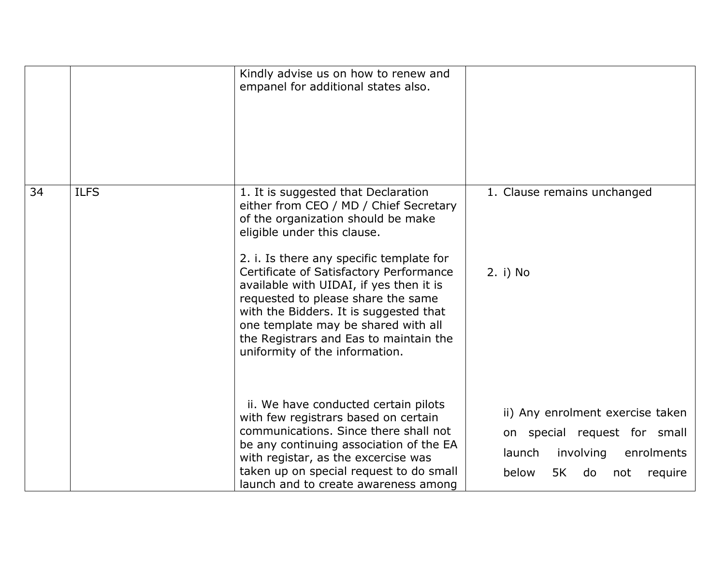|    |             | Kindly advise us on how to renew and<br>empanel for additional states also.                                                                                                                                                                                                                                                                                                                                                                                                             |                                                                                                                                              |
|----|-------------|-----------------------------------------------------------------------------------------------------------------------------------------------------------------------------------------------------------------------------------------------------------------------------------------------------------------------------------------------------------------------------------------------------------------------------------------------------------------------------------------|----------------------------------------------------------------------------------------------------------------------------------------------|
| 34 | <b>ILFS</b> | 1. It is suggested that Declaration<br>either from CEO / MD / Chief Secretary<br>of the organization should be make<br>eligible under this clause.<br>2. i. Is there any specific template for<br>Certificate of Satisfactory Performance<br>available with UIDAI, if yes then it is<br>requested to please share the same<br>with the Bidders. It is suggested that<br>one template may be shared with all<br>the Registrars and Eas to maintain the<br>uniformity of the information. | 1. Clause remains unchanged<br>2. i) No                                                                                                      |
|    |             | ii. We have conducted certain pilots<br>with few registrars based on certain<br>communications. Since there shall not<br>be any continuing association of the EA<br>with registar, as the excercise was<br>taken up on special request to do small<br>launch and to create awareness among                                                                                                                                                                                              | ii) Any enrolment exercise taken<br>on special request for small<br>launch<br>involving<br>enrolments<br>below<br>5K<br>do<br>not<br>require |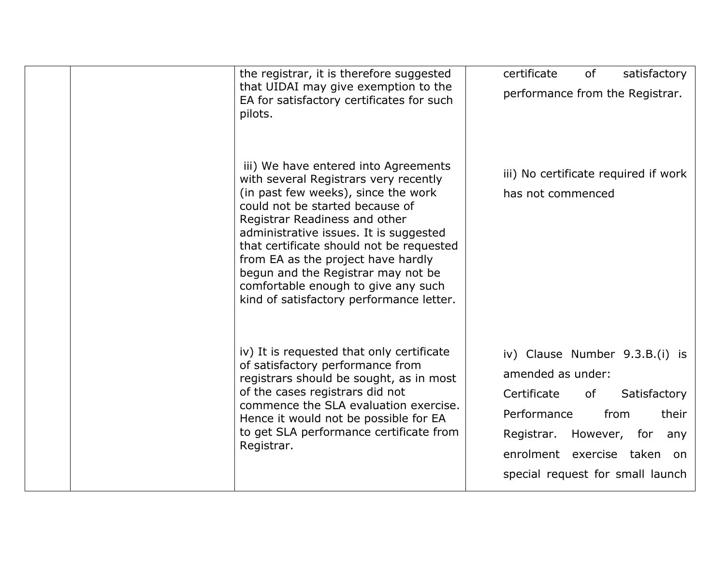| the registrar, it is therefore suggested<br>that UIDAI may give exemption to the<br>EA for satisfactory certificates for such<br>pilots.                                                                                                                                                                                                                                                                                                      | certificate<br>of<br>satisfactory<br>performance from the Registrar.                                                                                                                                                          |
|-----------------------------------------------------------------------------------------------------------------------------------------------------------------------------------------------------------------------------------------------------------------------------------------------------------------------------------------------------------------------------------------------------------------------------------------------|-------------------------------------------------------------------------------------------------------------------------------------------------------------------------------------------------------------------------------|
| iii) We have entered into Agreements<br>with several Registrars very recently<br>(in past few weeks), since the work<br>could not be started because of<br>Registrar Readiness and other<br>administrative issues. It is suggested<br>that certificate should not be requested<br>from EA as the project have hardly<br>begun and the Registrar may not be<br>comfortable enough to give any such<br>kind of satisfactory performance letter. | iii) No certificate required if work<br>has not commenced                                                                                                                                                                     |
| iv) It is requested that only certificate<br>of satisfactory performance from<br>registrars should be sought, as in most<br>of the cases registrars did not<br>commence the SLA evaluation exercise.<br>Hence it would not be possible for EA<br>to get SLA performance certificate from<br>Registrar.                                                                                                                                        | iv) Clause Number 9.3.B.(i) is<br>amended as under:<br>Certificate<br>of<br>Satisfactory<br>Performance<br>from<br>their<br>Registrar. However, for<br>any<br>enrolment exercise taken on<br>special request for small launch |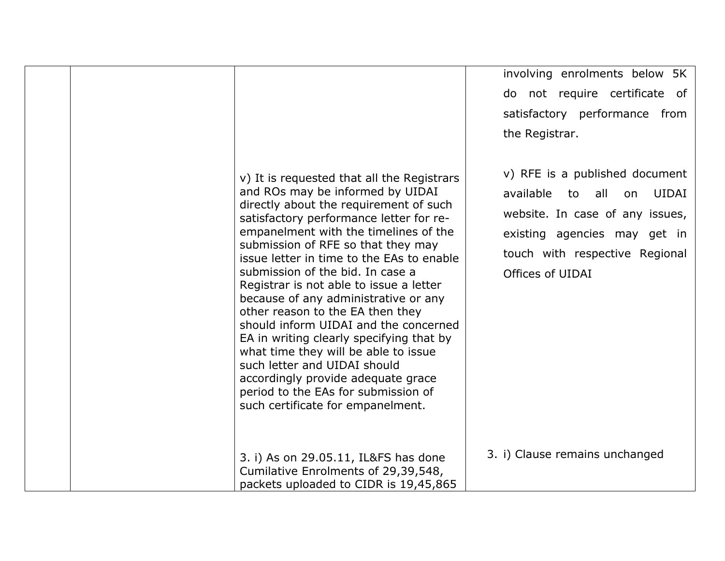|                                                                                                                                                                                                                                                                                                                                                                                                                                                                                                                                                                                                                                                                                                                                           | involving enrolments below 5K<br>do not require certificate of<br>satisfactory performance from<br>the Registrar.                                                                          |
|-------------------------------------------------------------------------------------------------------------------------------------------------------------------------------------------------------------------------------------------------------------------------------------------------------------------------------------------------------------------------------------------------------------------------------------------------------------------------------------------------------------------------------------------------------------------------------------------------------------------------------------------------------------------------------------------------------------------------------------------|--------------------------------------------------------------------------------------------------------------------------------------------------------------------------------------------|
| v) It is requested that all the Registrars<br>and ROs may be informed by UIDAI<br>directly about the requirement of such<br>satisfactory performance letter for re-<br>empanelment with the timelines of the<br>submission of RFE so that they may<br>issue letter in time to the EAs to enable<br>submission of the bid. In case a<br>Registrar is not able to issue a letter<br>because of any administrative or any<br>other reason to the EA then they<br>should inform UIDAI and the concerned<br>EA in writing clearly specifying that by<br>what time they will be able to issue<br>such letter and UIDAI should<br>accordingly provide adequate grace<br>period to the EAs for submission of<br>such certificate for empanelment. | v) RFE is a published document<br>available to all<br>UIDAI<br>on<br>website. In case of any issues,<br>existing agencies may get in<br>touch with respective Regional<br>Offices of UIDAI |
| 3. i) As on 29.05.11, IL&FS has done<br>Cumilative Enrolments of 29,39,548,<br>packets uploaded to CIDR is 19,45,865                                                                                                                                                                                                                                                                                                                                                                                                                                                                                                                                                                                                                      | 3. i) Clause remains unchanged                                                                                                                                                             |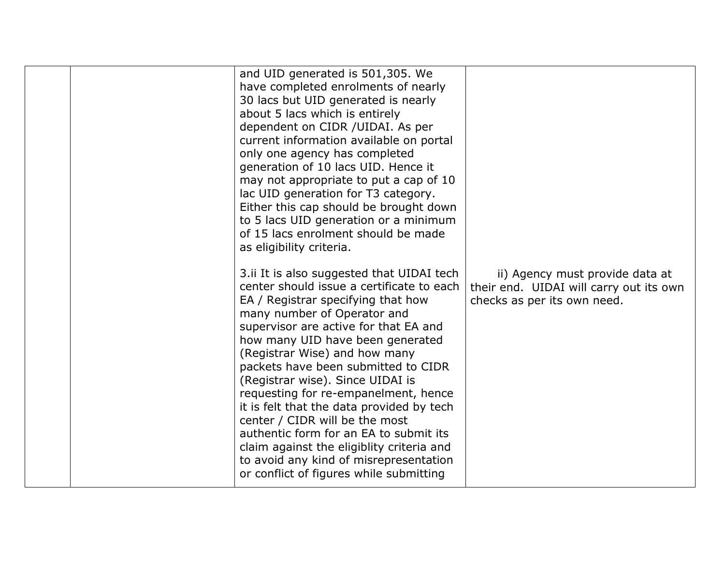|  | and UID generated is 501,305. We<br>have completed enrolments of nearly<br>30 lacs but UID generated is nearly<br>about 5 lacs which is entirely<br>dependent on CIDR / UIDAI. As per<br>current information available on portal<br>only one agency has completed<br>generation of 10 lacs UID. Hence it<br>may not appropriate to put a cap of 10<br>lac UID generation for T3 category.<br>Either this cap should be brought down<br>to 5 lacs UID generation or a minimum<br>of 15 lacs enrolment should be made<br>as eligibility criteria.<br>3.ii It is also suggested that UIDAI tech<br>center should issue a certificate to each<br>EA / Registrar specifying that how<br>many number of Operator and<br>supervisor are active for that EA and<br>how many UID have been generated<br>(Registrar Wise) and how many<br>packets have been submitted to CIDR<br>(Registrar wise). Since UIDAI is<br>requesting for re-empanelment, hence<br>it is felt that the data provided by tech<br>center / CIDR will be the most<br>authentic form for an EA to submit its<br>claim against the eligiblity criteria and<br>to avoid any kind of misrepresentation<br>or conflict of figures while submitting | ii) Agency must provide data at<br>their end. UIDAI will carry out its own<br>checks as per its own need. |
|--|------------------------------------------------------------------------------------------------------------------------------------------------------------------------------------------------------------------------------------------------------------------------------------------------------------------------------------------------------------------------------------------------------------------------------------------------------------------------------------------------------------------------------------------------------------------------------------------------------------------------------------------------------------------------------------------------------------------------------------------------------------------------------------------------------------------------------------------------------------------------------------------------------------------------------------------------------------------------------------------------------------------------------------------------------------------------------------------------------------------------------------------------------------------------------------------------------------|-----------------------------------------------------------------------------------------------------------|
|--|------------------------------------------------------------------------------------------------------------------------------------------------------------------------------------------------------------------------------------------------------------------------------------------------------------------------------------------------------------------------------------------------------------------------------------------------------------------------------------------------------------------------------------------------------------------------------------------------------------------------------------------------------------------------------------------------------------------------------------------------------------------------------------------------------------------------------------------------------------------------------------------------------------------------------------------------------------------------------------------------------------------------------------------------------------------------------------------------------------------------------------------------------------------------------------------------------------|-----------------------------------------------------------------------------------------------------------|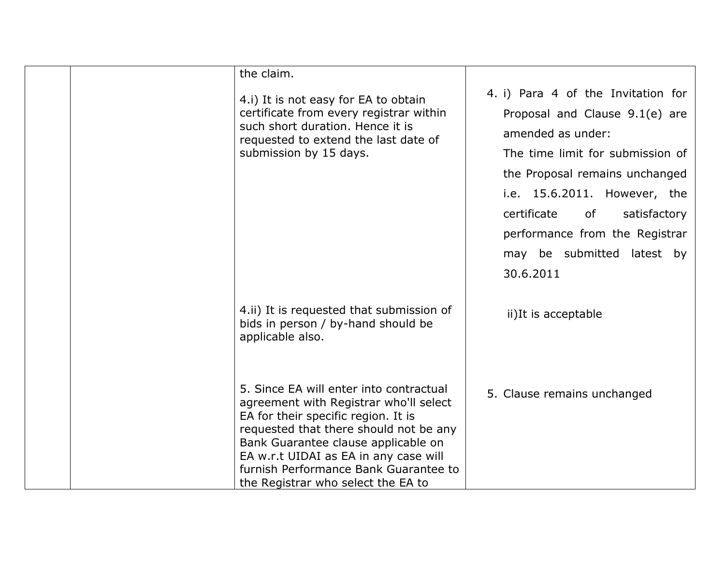|  | the claim.                                                                                                                                                                                                                                                                                                                        |                                                                                                                                                                                                                                                                                                                   |
|--|-----------------------------------------------------------------------------------------------------------------------------------------------------------------------------------------------------------------------------------------------------------------------------------------------------------------------------------|-------------------------------------------------------------------------------------------------------------------------------------------------------------------------------------------------------------------------------------------------------------------------------------------------------------------|
|  | 4.i) It is not easy for EA to obtain<br>certificate from every registrar within<br>such short duration. Hence it is<br>requested to extend the last date of<br>submission by 15 days.                                                                                                                                             | 4. i) Para 4 of the Invitation for<br>Proposal and Clause 9.1(e) are<br>amended as under:<br>The time limit for submission of<br>the Proposal remains unchanged<br>i.e. 15.6.2011. However, the<br>certificate<br>of<br>satisfactory<br>performance from the Registrar<br>may be submitted latest by<br>30.6.2011 |
|  | 4.ii) It is requested that submission of<br>bids in person / by-hand should be<br>applicable also.                                                                                                                                                                                                                                | ii)It is acceptable                                                                                                                                                                                                                                                                                               |
|  | 5. Since EA will enter into contractual<br>agreement with Registrar who'll select<br>EA for their specific region. It is<br>requested that there should not be any<br>Bank Guarantee clause applicable on<br>EA w.r.t UIDAI as EA in any case will<br>furnish Performance Bank Guarantee to<br>the Registrar who select the EA to | 5. Clause remains unchanged                                                                                                                                                                                                                                                                                       |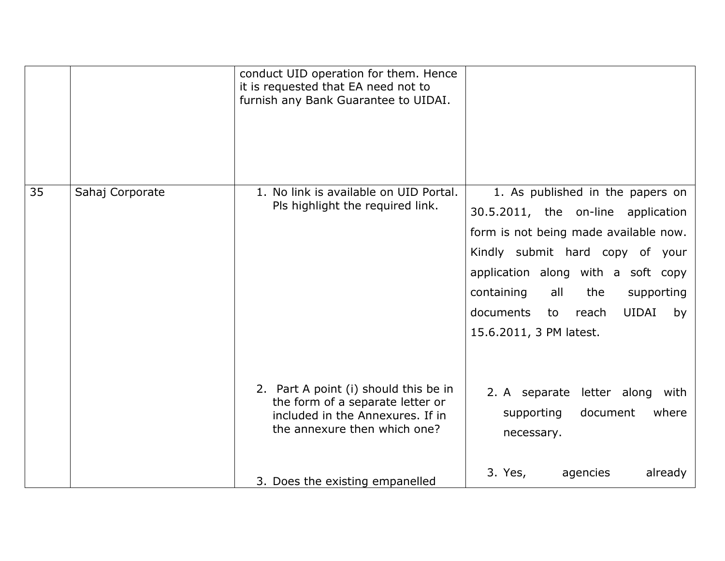|    |                 | conduct UID operation for them. Hence<br>it is requested that EA need not to<br>furnish any Bank Guarantee to UIDAI.                                                             |                                                                                                                                                                                                                                                                                                          |
|----|-----------------|----------------------------------------------------------------------------------------------------------------------------------------------------------------------------------|----------------------------------------------------------------------------------------------------------------------------------------------------------------------------------------------------------------------------------------------------------------------------------------------------------|
| 35 | Sahaj Corporate | 1. No link is available on UID Portal.<br>Pls highlight the required link.                                                                                                       | 1. As published in the papers on<br>30.5.2011, the on-line application<br>form is not being made available now.<br>Kindly submit hard copy of your<br>application along with a soft copy<br>containing<br>all<br>the<br>supporting<br>documents<br>UIDAI<br>to<br>reach<br>by<br>15.6.2011, 3 PM latest. |
|    |                 | 2. Part A point (i) should this be in<br>the form of a separate letter or<br>included in the Annexures. If in<br>the annexure then which one?<br>3. Does the existing empanelled | 2. A separate letter along with<br>where<br>supporting<br>document<br>necessary.<br>3. Yes,<br>agencies<br>already                                                                                                                                                                                       |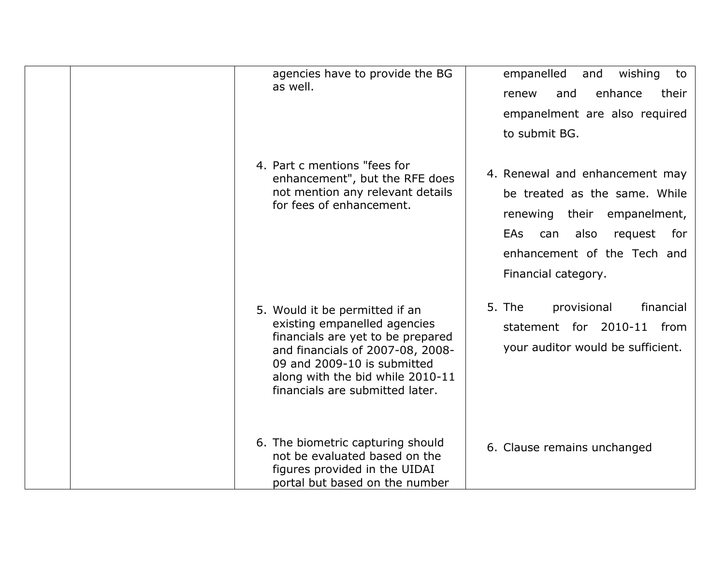| agencies have to provide the BG<br>as well.                                                                                                                                                                                                   | empanelled<br>wishing<br>and<br>to<br>enhance<br>and<br>their<br>renew<br>empanelment are also required<br>to submit BG.                                                                            |
|-----------------------------------------------------------------------------------------------------------------------------------------------------------------------------------------------------------------------------------------------|-----------------------------------------------------------------------------------------------------------------------------------------------------------------------------------------------------|
| 4. Part c mentions "fees for<br>enhancement", but the RFE does<br>not mention any relevant details<br>for fees of enhancement.                                                                                                                | 4. Renewal and enhancement may<br>be treated as the same. While<br>renewing their empanelment,<br><b>EAs</b><br>can<br>also<br>request<br>for<br>enhancement of the Tech and<br>Financial category. |
| 5. Would it be permitted if an<br>existing empanelled agencies<br>financials are yet to be prepared<br>and financials of 2007-08, 2008-<br>09 and 2009-10 is submitted<br>along with the bid while 2010-11<br>financials are submitted later. | 5. The<br>provisional<br>financial<br>statement for 2010-11<br>from<br>your auditor would be sufficient.                                                                                            |
| 6. The biometric capturing should<br>not be evaluated based on the<br>figures provided in the UIDAI<br>portal but based on the number                                                                                                         | 6. Clause remains unchanged                                                                                                                                                                         |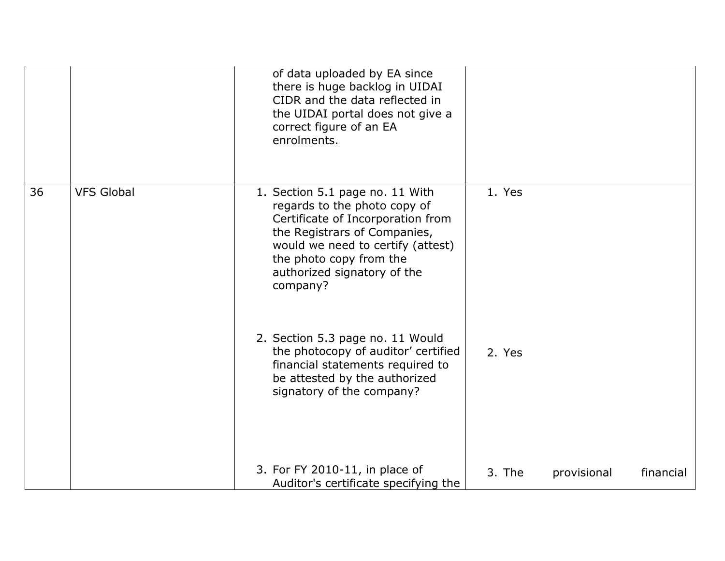|    |                   | of data uploaded by EA since<br>there is huge backlog in UIDAI<br>CIDR and the data reflected in<br>the UIDAI portal does not give a<br>correct figure of an EA<br>enrolments.                                                                  |        |             |           |
|----|-------------------|-------------------------------------------------------------------------------------------------------------------------------------------------------------------------------------------------------------------------------------------------|--------|-------------|-----------|
| 36 | <b>VFS Global</b> | 1. Section 5.1 page no. 11 With<br>regards to the photo copy of<br>Certificate of Incorporation from<br>the Registrars of Companies,<br>would we need to certify (attest)<br>the photo copy from the<br>authorized signatory of the<br>company? | 1. Yes |             |           |
|    |                   | 2. Section 5.3 page no. 11 Would<br>the photocopy of auditor' certified<br>financial statements required to<br>be attested by the authorized<br>signatory of the company?                                                                       | 2. Yes |             |           |
|    |                   | 3. For FY 2010-11, in place of<br>Auditor's certificate specifying the                                                                                                                                                                          | 3. The | provisional | financial |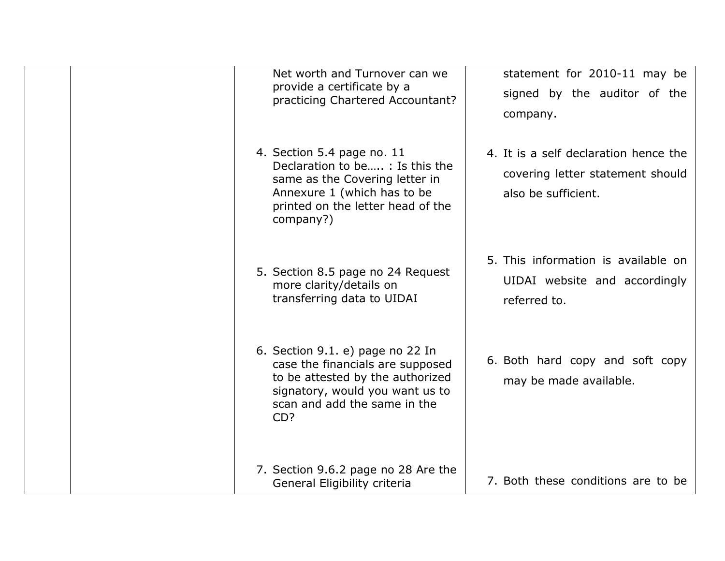| Net worth and Turnover can we<br>provide a certificate by a<br>practicing Chartered Accountant?                                                                                    | statement for 2010-11 may be<br>signed by the auditor of the<br>company.                         |
|------------------------------------------------------------------------------------------------------------------------------------------------------------------------------------|--------------------------------------------------------------------------------------------------|
| 4. Section 5.4 page no. 11<br>Declaration to be : Is this the<br>same as the Covering letter in<br>Annexure 1 (which has to be<br>printed on the letter head of the<br>company?)   | 4. It is a self declaration hence the<br>covering letter statement should<br>also be sufficient. |
| 5. Section 8.5 page no 24 Request<br>more clarity/details on<br>transferring data to UIDAI                                                                                         | 5. This information is available on<br>UIDAI website and accordingly<br>referred to.             |
| 6. Section 9.1. e) page no 22 In<br>case the financials are supposed<br>to be attested by the authorized<br>signatory, would you want us to<br>scan and add the same in the<br>CD? | 6. Both hard copy and soft copy<br>may be made available.                                        |
| 7. Section 9.6.2 page no 28 Are the<br>General Eligibility criteria                                                                                                                | 7. Both these conditions are to be                                                               |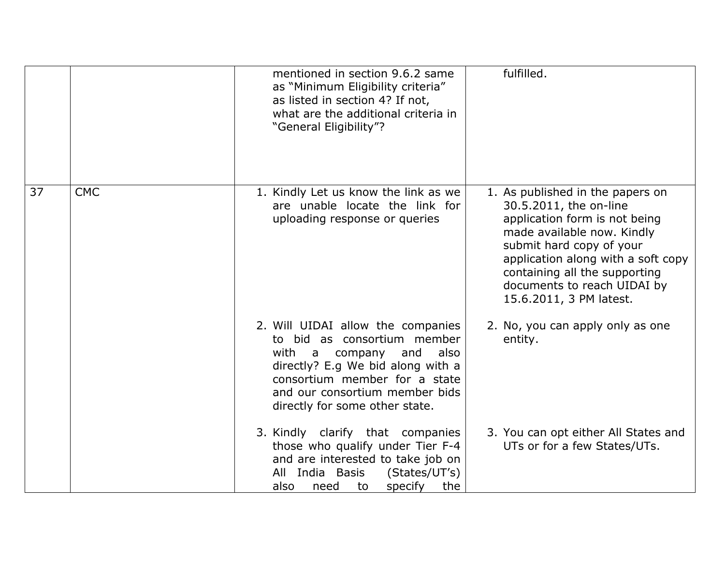|    |            | mentioned in section 9.6.2 same<br>as "Minimum Eligibility criteria"<br>as listed in section 4? If not,<br>what are the additional criteria in<br>"General Eligibility"?                                                                       | fulfilled.                                                                                                                                                                                                                                                                             |
|----|------------|------------------------------------------------------------------------------------------------------------------------------------------------------------------------------------------------------------------------------------------------|----------------------------------------------------------------------------------------------------------------------------------------------------------------------------------------------------------------------------------------------------------------------------------------|
| 37 | <b>CMC</b> | 1. Kindly Let us know the link as we<br>are unable locate the link for<br>uploading response or queries                                                                                                                                        | 1. As published in the papers on<br>30.5.2011, the on-line<br>application form is not being<br>made available now. Kindly<br>submit hard copy of your<br>application along with a soft copy<br>containing all the supporting<br>documents to reach UIDAI by<br>15.6.2011, 3 PM latest. |
|    |            | 2. Will UIDAI allow the companies<br>to bid as consortium member<br>with a<br>company<br>also<br>and<br>directly? E.g We bid along with a<br>consortium member for a state<br>and our consortium member bids<br>directly for some other state. | 2. No, you can apply only as one<br>entity.                                                                                                                                                                                                                                            |
|    |            | 3. Kindly clarify that companies<br>those who qualify under Tier F-4<br>and are interested to take job on<br>All India Basis<br>(States/UT's)<br>specify<br>the<br>also<br>need<br>to                                                          | 3. You can opt either All States and<br>UTs or for a few States/UTs.                                                                                                                                                                                                                   |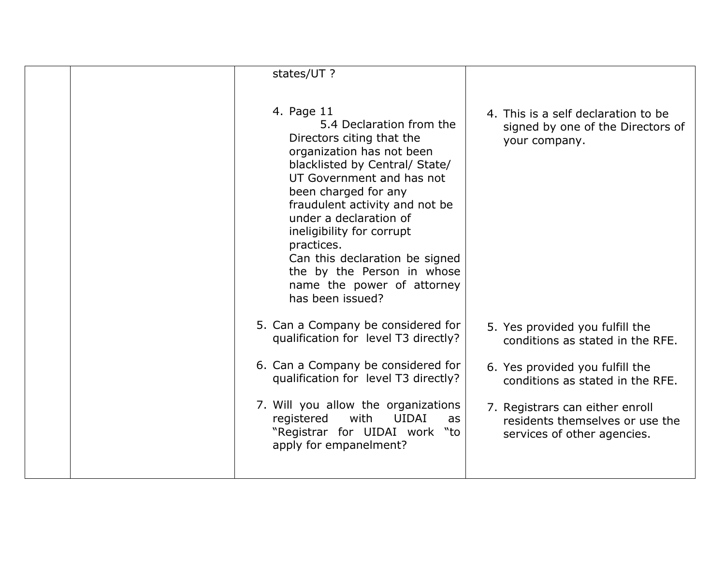| states/UT ?                                                                                                                                                                                                                                                                                                                                                                                                      |                                                                                                   |
|------------------------------------------------------------------------------------------------------------------------------------------------------------------------------------------------------------------------------------------------------------------------------------------------------------------------------------------------------------------------------------------------------------------|---------------------------------------------------------------------------------------------------|
| 4. Page 11<br>5.4 Declaration from the<br>Directors citing that the<br>organization has not been<br>blacklisted by Central/ State/<br>UT Government and has not<br>been charged for any<br>fraudulent activity and not be<br>under a declaration of<br>ineligibility for corrupt<br>practices.<br>Can this declaration be signed<br>the by the Person in whose<br>name the power of attorney<br>has been issued? | 4. This is a self declaration to be<br>signed by one of the Directors of<br>your company.         |
| 5. Can a Company be considered for<br>qualification for level T3 directly?                                                                                                                                                                                                                                                                                                                                       | 5. Yes provided you fulfill the<br>conditions as stated in the RFE.                               |
| 6. Can a Company be considered for<br>qualification for level T3 directly?                                                                                                                                                                                                                                                                                                                                       | 6. Yes provided you fulfill the<br>conditions as stated in the RFE.                               |
| 7. Will you allow the organizations<br>with<br>UIDAI<br>registered<br>as<br>"Registrar for UIDAI work "to<br>apply for empanelment?                                                                                                                                                                                                                                                                              | 7. Registrars can either enroll<br>residents themselves or use the<br>services of other agencies. |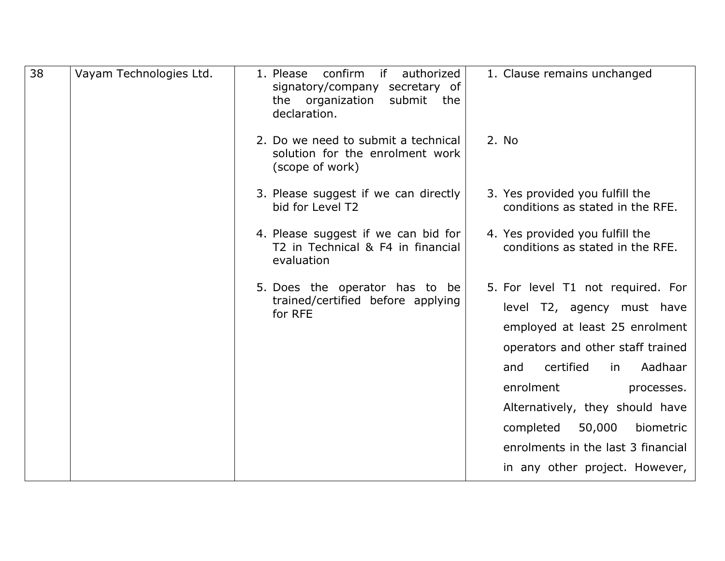| 38 | Vayam Technologies Ltd. | confirm<br>if<br>authorized<br>1. Please<br>signatory/company<br>secretary of<br>the organization<br>submit<br>the<br>declaration. | 1. Clause remains unchanged                                                                                                                                                                                                                                                                                                                           |
|----|-------------------------|------------------------------------------------------------------------------------------------------------------------------------|-------------------------------------------------------------------------------------------------------------------------------------------------------------------------------------------------------------------------------------------------------------------------------------------------------------------------------------------------------|
|    |                         | 2. Do we need to submit a technical<br>solution for the enrolment work<br>(scope of work)                                          | 2. No                                                                                                                                                                                                                                                                                                                                                 |
|    |                         | 3. Please suggest if we can directly<br>bid for Level T2                                                                           | 3. Yes provided you fulfill the<br>conditions as stated in the RFE.                                                                                                                                                                                                                                                                                   |
|    |                         | 4. Please suggest if we can bid for<br>T2 in Technical & F4 in financial<br>evaluation                                             | 4. Yes provided you fulfill the<br>conditions as stated in the RFE.                                                                                                                                                                                                                                                                                   |
|    |                         | 5. Does the operator has to be<br>trained/certified before applying<br>for RFE                                                     | 5. For level T1 not required. For<br>level T2, agency must have<br>employed at least 25 enrolment<br>operators and other staff trained<br>Aadhaar<br>certified<br>and<br>in<br>enrolment<br>processes.<br>Alternatively, they should have<br>50,000<br>completed<br>biometric<br>enrolments in the last 3 financial<br>in any other project. However, |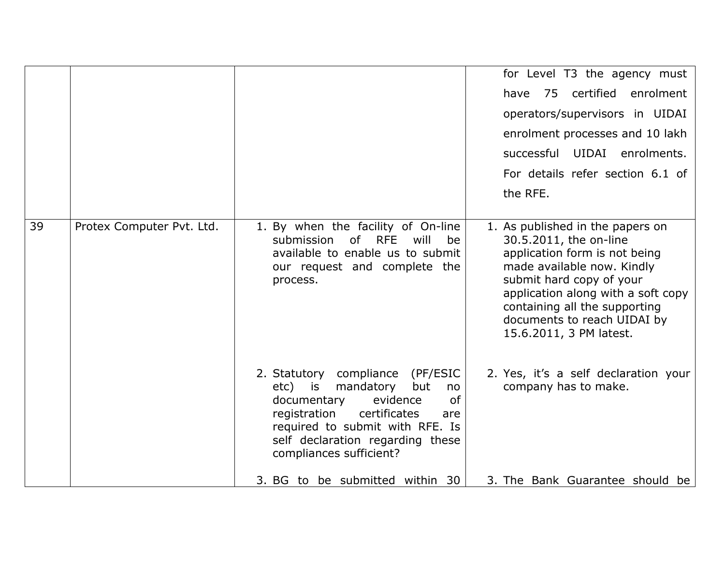|    |                           |                                                                                                                                                                                                                                                                                 | for Level T3 the agency must<br>have 75 certified enrolment<br>operators/supervisors in UIDAI<br>enrolment processes and 10 lakh<br>successful UIDAI enrolments.<br>For details refer section 6.1 of<br>the RFE.                                                                       |
|----|---------------------------|---------------------------------------------------------------------------------------------------------------------------------------------------------------------------------------------------------------------------------------------------------------------------------|----------------------------------------------------------------------------------------------------------------------------------------------------------------------------------------------------------------------------------------------------------------------------------------|
| 39 | Protex Computer Pvt. Ltd. | 1. By when the facility of On-line<br>will<br>submission<br>of RFE<br>be<br>available to enable us to submit<br>our request and complete the<br>process.                                                                                                                        | 1. As published in the papers on<br>30.5.2011, the on-line<br>application form is not being<br>made available now. Kindly<br>submit hard copy of your<br>application along with a soft copy<br>containing all the supporting<br>documents to reach UIDAI by<br>15.6.2011, 3 PM latest. |
|    |                           | 2. Statutory compliance (PF/ESIC<br>etc) is mandatory<br>but<br>no<br>documentary<br>evidence<br>of<br>registration<br>certificates<br>are<br>required to submit with RFE. Is<br>self declaration regarding these<br>compliances sufficient?<br>3. BG to be submitted within 30 | 2. Yes, it's a self declaration your<br>company has to make.<br>3. The Bank Guarantee should be                                                                                                                                                                                        |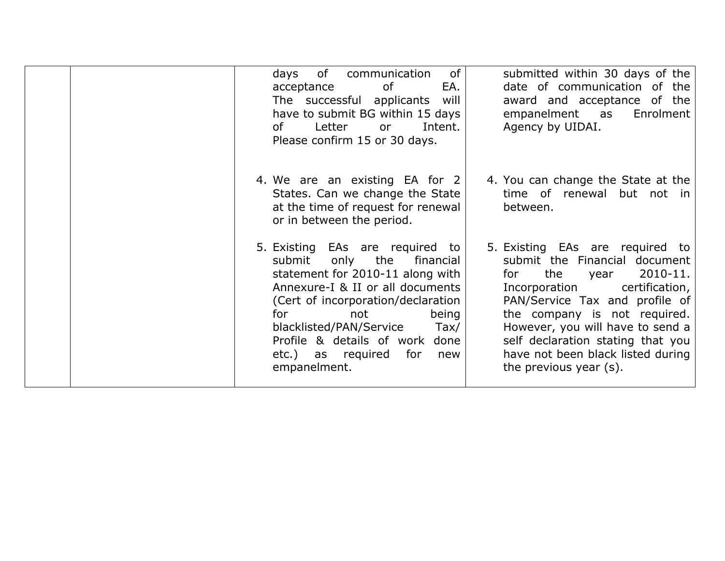| of<br>of<br>communication<br>days<br>EA.<br>acceptance<br>of<br>The successful applicants<br>will<br>have to submit BG within 15 days<br>Letter<br>Intent.<br>of the origin of the original control. The control of the control of the control of the control of the control in the control of the control of the control of the control of the control of the control of the control of the<br>or<br>Please confirm 15 or 30 days.                  | submitted within 30 days of the<br>date of communication of the<br>award and acceptance of the<br>empanelment as<br>Enrolment<br>Agency by UIDAI.                                                                                                                                                                                               |
|------------------------------------------------------------------------------------------------------------------------------------------------------------------------------------------------------------------------------------------------------------------------------------------------------------------------------------------------------------------------------------------------------------------------------------------------------|-------------------------------------------------------------------------------------------------------------------------------------------------------------------------------------------------------------------------------------------------------------------------------------------------------------------------------------------------|
| 4. We are an existing EA for 2<br>States. Can we change the State<br>at the time of request for renewal<br>or in between the period.                                                                                                                                                                                                                                                                                                                 | 4. You can change the State at the<br>time of renewal but not in<br>between.                                                                                                                                                                                                                                                                    |
| 5. Existing EAs are required to<br>the<br>submit<br>only<br>financial<br>statement for 2010-11 along with<br>Annexure-I & II or all documents<br>(Cert of incorporation/declaration<br>being<br>for the set of the set of the set of the set of the set of the set of the set of the set of the set of the set o<br>not<br>blacklisted/PAN/Service<br>$\text{Tax}$<br>Profile & details of work done<br>etc.) as required for<br>new<br>empanelment. | 5. Existing EAs are required to<br>submit the Financial document<br>2010-11.<br>the<br>for<br>year<br>certification,<br>Incorporation<br>PAN/Service Tax and profile of<br>the company is not required.<br>However, you will have to send a<br>self declaration stating that you<br>have not been black listed during<br>the previous year (s). |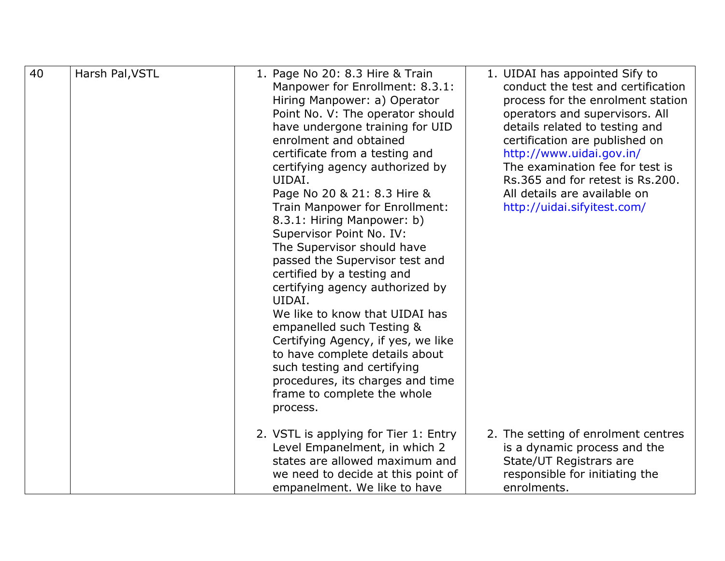| 40 | Harsh Pal, VSTL | 1. Page No 20: 8.3 Hire & Train<br>Manpower for Enrollment: 8.3.1:<br>Hiring Manpower: a) Operator<br>Point No. V: The operator should<br>have undergone training for UID<br>enrolment and obtained<br>certificate from a testing and<br>certifying agency authorized by<br>UIDAI.<br>Page No 20 & 21: 8.3 Hire &<br>Train Manpower for Enrollment:<br>8.3.1: Hiring Manpower: b)<br>Supervisor Point No. IV:<br>The Supervisor should have<br>passed the Supervisor test and<br>certified by a testing and<br>certifying agency authorized by | 1. UIDAI has appointed Sify to<br>conduct the test and certification<br>process for the enrolment station<br>operators and supervisors. All<br>details related to testing and<br>certification are published on<br>http://www.uidai.gov.in/<br>The examination fee for test is<br>Rs.365 and for retest is Rs.200.<br>All details are available on<br>http://uidai.sifyitest.com/ |
|----|-----------------|------------------------------------------------------------------------------------------------------------------------------------------------------------------------------------------------------------------------------------------------------------------------------------------------------------------------------------------------------------------------------------------------------------------------------------------------------------------------------------------------------------------------------------------------|-----------------------------------------------------------------------------------------------------------------------------------------------------------------------------------------------------------------------------------------------------------------------------------------------------------------------------------------------------------------------------------|
|    |                 | empanelled such Testing &<br>Certifying Agency, if yes, we like<br>to have complete details about<br>such testing and certifying<br>procedures, its charges and time<br>frame to complete the whole<br>process.                                                                                                                                                                                                                                                                                                                                |                                                                                                                                                                                                                                                                                                                                                                                   |
|    |                 | 2. VSTL is applying for Tier 1: Entry<br>Level Empanelment, in which 2<br>states are allowed maximum and<br>we need to decide at this point of<br>empanelment. We like to have                                                                                                                                                                                                                                                                                                                                                                 | 2. The setting of enrolment centres<br>is a dynamic process and the<br>State/UT Registrars are<br>responsible for initiating the<br>enrolments.                                                                                                                                                                                                                                   |